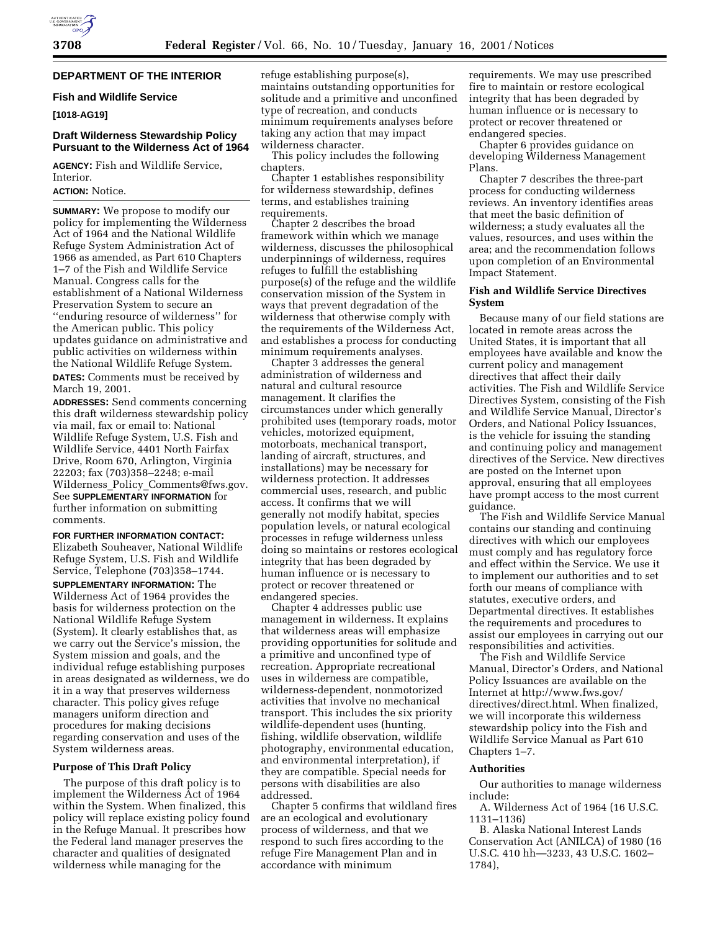# **DEPARTMENT OF THE INTERIOR**

# **Fish and Wildlife Service**

# **[1018-AG19]**

# **Draft Wilderness Stewardship Policy Pursuant to the Wilderness Act of 1964**

**AGENCY:** Fish and Wildlife Service, Interior.

# **ACTION:** Notice.

**SUMMARY:** We propose to modify our policy for implementing the Wilderness Act of 1964 and the National Wildlife Refuge System Administration Act of 1966 as amended, as Part 610 Chapters 1–7 of the Fish and Wildlife Service Manual. Congress calls for the establishment of a National Wilderness Preservation System to secure an ''enduring resource of wilderness'' for the American public. This policy updates guidance on administrative and public activities on wilderness within the National Wildlife Refuge System.

**DATES:** Comments must be received by March 19, 2001.

**ADDRESSES:** Send comments concerning this draft wilderness stewardship policy via mail, fax or email to: National Wildlife Refuge System, U.S. Fish and Wildlife Service, 4401 North Fairfax Drive, Room 670, Arlington, Virginia 22203; fax (703)358–2248; e-mail Wilderness\_Policy\_Comments@fws.gov. See **SUPPLEMENTARY INFORMATION** for further information on submitting comments.

**FOR FURTHER INFORMATION CONTACT:** Elizabeth Souheaver, National Wildlife Refuge System, U.S. Fish and Wildlife Service, Telephone (703)358–1744. **SUPPLEMENTARY INFORMATION:** The

Wilderness Act of 1964 provides the basis for wilderness protection on the National Wildlife Refuge System (System). It clearly establishes that, as we carry out the Service's mission, the System mission and goals, and the individual refuge establishing purposes in areas designated as wilderness, we do it in a way that preserves wilderness character. This policy gives refuge managers uniform direction and procedures for making decisions regarding conservation and uses of the System wilderness areas.

### **Purpose of This Draft Policy**

The purpose of this draft policy is to implement the Wilderness Act of 1964 within the System. When finalized, this policy will replace existing policy found in the Refuge Manual. It prescribes how the Federal land manager preserves the character and qualities of designated wilderness while managing for the

refuge establishing purpose(s), maintains outstanding opportunities for solitude and a primitive and unconfined type of recreation, and conducts minimum requirements analyses before taking any action that may impact wilderness character.

This policy includes the following chapters.

Chapter 1 establishes responsibility for wilderness stewardship, defines terms, and establishes training requirements.

Chapter 2 describes the broad framework within which we manage wilderness, discusses the philosophical underpinnings of wilderness, requires refuges to fulfill the establishing purpose(s) of the refuge and the wildlife conservation mission of the System in ways that prevent degradation of the wilderness that otherwise comply with the requirements of the Wilderness Act, and establishes a process for conducting minimum requirements analyses.

Chapter 3 addresses the general administration of wilderness and natural and cultural resource management. It clarifies the circumstances under which generally prohibited uses (temporary roads, motor vehicles, motorized equipment, motorboats, mechanical transport, landing of aircraft, structures, and installations) may be necessary for wilderness protection. It addresses commercial uses, research, and public access. It confirms that we will generally not modify habitat, species population levels, or natural ecological processes in refuge wilderness unless doing so maintains or restores ecological integrity that has been degraded by human influence or is necessary to protect or recover threatened or endangered species.

Chapter 4 addresses public use management in wilderness. It explains that wilderness areas will emphasize providing opportunities for solitude and a primitive and unconfined type of recreation. Appropriate recreational uses in wilderness are compatible, wilderness-dependent, nonmotorized activities that involve no mechanical transport. This includes the six priority wildlife-dependent uses (hunting, fishing, wildlife observation, wildlife photography, environmental education, and environmental interpretation), if they are compatible. Special needs for persons with disabilities are also addressed.

Chapter 5 confirms that wildland fires are an ecological and evolutionary process of wilderness, and that we respond to such fires according to the refuge Fire Management Plan and in accordance with minimum

requirements. We may use prescribed fire to maintain or restore ecological integrity that has been degraded by human influence or is necessary to protect or recover threatened or endangered species.

Chapter 6 provides guidance on developing Wilderness Management Plans.

Chapter 7 describes the three-part process for conducting wilderness reviews. An inventory identifies areas that meet the basic definition of wilderness; a study evaluates all the values, resources, and uses within the area; and the recommendation follows upon completion of an Environmental Impact Statement.

### **Fish and Wildlife Service Directives System**

Because many of our field stations are located in remote areas across the United States, it is important that all employees have available and know the current policy and management directives that affect their daily activities. The Fish and Wildlife Service Directives System, consisting of the Fish and Wildlife Service Manual, Director's Orders, and National Policy Issuances, is the vehicle for issuing the standing and continuing policy and management directives of the Service. New directives are posted on the Internet upon approval, ensuring that all employees have prompt access to the most current guidance.

The Fish and Wildlife Service Manual contains our standing and continuing directives with which our employees must comply and has regulatory force and effect within the Service. We use it to implement our authorities and to set forth our means of compliance with statutes, executive orders, and Departmental directives. It establishes the requirements and procedures to assist our employees in carrying out our responsibilities and activities.

The Fish and Wildlife Service Manual, Director's Orders, and National Policy Issuances are available on the Internet at http://www.fws.gov/ directives/direct.html. When finalized, we will incorporate this wilderness stewardship policy into the Fish and Wildlife Service Manual as Part 610 Chapters 1–7.

### **Authorities**

Our authorities to manage wilderness include:

A. Wilderness Act of 1964 (16 U.S.C. 1131–1136)

B. Alaska National Interest Lands Conservation Act (ANILCA) of 1980 (16 U.S.C. 410 hh—3233, 43 U.S.C. 1602– 1784),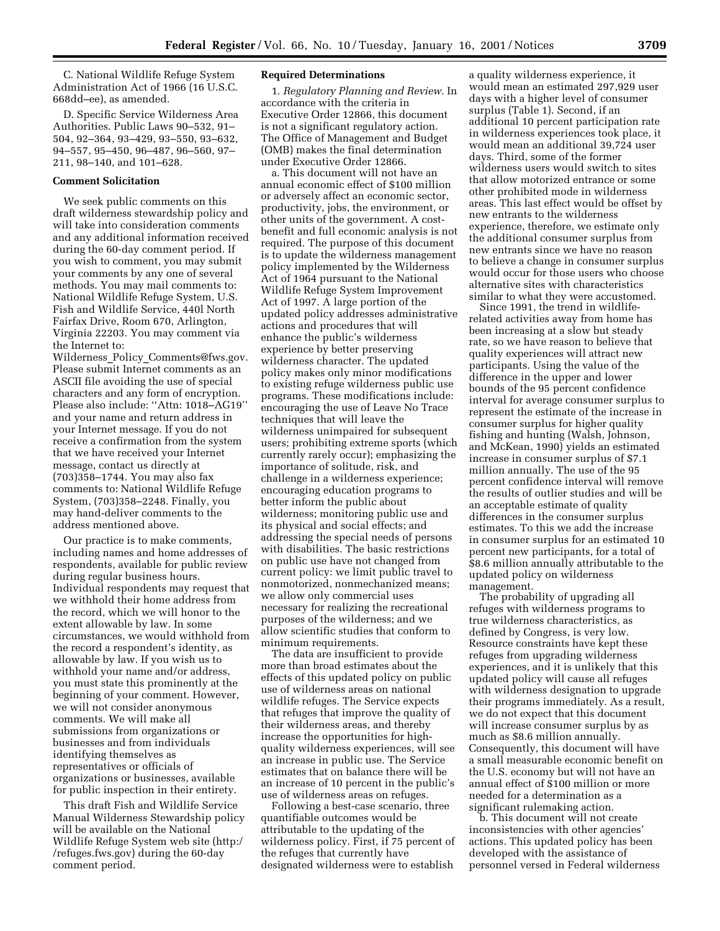C. National Wildlife Refuge System Administration Act of 1966 (16 U.S.C. 668dd–ee), as amended.

D. Specific Service Wilderness Area Authorities. Public Laws 90–532, 91– 504, 92–364, 93–429, 93–550, 93–632, 94–557, 95–450, 96–487, 96–560, 97– 211, 98–140, and 101–628.

### **Comment Solicitation**

We seek public comments on this draft wilderness stewardship policy and will take into consideration comments and any additional information received during the 60-day comment period. If you wish to comment, you may submit your comments by any one of several methods. You may mail comments to: National Wildlife Refuge System, U.S. Fish and Wildlife Service, 440l North Fairfax Drive, Room 670, Arlington, Virginia 22203. You may comment via the Internet to:

Wilderness Policy Comments@fws.gov. Please submit Internet comments as an ASCII file avoiding the use of special characters and any form of encryption. Please also include: ''Attn: 1018–AG19'' and your name and return address in your Internet message. If you do not receive a confirmation from the system that we have received your Internet message, contact us directly at (703)358–1744. You may also fax comments to: National Wildlife Refuge System, (703)358–2248. Finally, you may hand-deliver comments to the address mentioned above.

Our practice is to make comments, including names and home addresses of respondents, available for public review during regular business hours. Individual respondents may request that we withhold their home address from the record, which we will honor to the extent allowable by law. In some circumstances, we would withhold from the record a respondent's identity, as allowable by law. If you wish us to withhold your name and/or address, you must state this prominently at the beginning of your comment. However, we will not consider anonymous comments. We will make all submissions from organizations or businesses and from individuals identifying themselves as representatives or officials of organizations or businesses, available for public inspection in their entirety.

This draft Fish and Wildlife Service Manual Wilderness Stewardship policy will be available on the National Wildlife Refuge System web site (http:/ /refuges.fws.gov) during the 60-day comment period.

### **Required Determinations**

1. *Regulatory Planning and Review.* In accordance with the criteria in Executive Order 12866, this document is not a significant regulatory action. The Office of Management and Budget (OMB) makes the final determination under Executive Order 12866.

a. This document will not have an annual economic effect of \$100 million or adversely affect an economic sector, productivity, jobs, the environment, or other units of the government. A costbenefit and full economic analysis is not required. The purpose of this document is to update the wilderness management policy implemented by the Wilderness Act of 1964 pursuant to the National Wildlife Refuge System Improvement Act of 1997. A large portion of the updated policy addresses administrative actions and procedures that will enhance the public's wilderness experience by better preserving wilderness character. The updated policy makes only minor modifications to existing refuge wilderness public use programs. These modifications include: encouraging the use of Leave No Trace techniques that will leave the wilderness unimpaired for subsequent users; prohibiting extreme sports (which currently rarely occur); emphasizing the importance of solitude, risk, and challenge in a wilderness experience; encouraging education programs to better inform the public about wilderness; monitoring public use and its physical and social effects; and addressing the special needs of persons with disabilities. The basic restrictions on public use have not changed from current policy: we limit public travel to nonmotorized, nonmechanized means; we allow only commercial uses necessary for realizing the recreational purposes of the wilderness; and we allow scientific studies that conform to minimum requirements.

The data are insufficient to provide more than broad estimates about the effects of this updated policy on public use of wilderness areas on national wildlife refuges. The Service expects that refuges that improve the quality of their wilderness areas, and thereby increase the opportunities for highquality wilderness experiences, will see an increase in public use. The Service estimates that on balance there will be an increase of 10 percent in the public's use of wilderness areas on refuges.

Following a best-case scenario, three quantifiable outcomes would be attributable to the updating of the wilderness policy. First, if 75 percent of the refuges that currently have designated wilderness were to establish

a quality wilderness experience, it would mean an estimated 297,929 user days with a higher level of consumer surplus (Table 1). Second, if an additional 10 percent participation rate in wilderness experiences took place, it would mean an additional 39,724 user days. Third, some of the former wilderness users would switch to sites that allow motorized entrance or some other prohibited mode in wilderness areas. This last effect would be offset by new entrants to the wilderness experience, therefore, we estimate only the additional consumer surplus from new entrants since we have no reason to believe a change in consumer surplus would occur for those users who choose alternative sites with characteristics similar to what they were accustomed.

Since 1991, the trend in wildliferelated activities away from home has been increasing at a slow but steady rate, so we have reason to believe that quality experiences will attract new participants. Using the value of the difference in the upper and lower bounds of the 95 percent confidence interval for average consumer surplus to represent the estimate of the increase in consumer surplus for higher quality fishing and hunting (Walsh, Johnson, and McKean, 1990) yields an estimated increase in consumer surplus of \$7.1 million annually. The use of the 95 percent confidence interval will remove the results of outlier studies and will be an acceptable estimate of quality differences in the consumer surplus estimates. To this we add the increase in consumer surplus for an estimated 10 percent new participants, for a total of \$8.6 million annually attributable to the updated policy on wilderness management.

The probability of upgrading all refuges with wilderness programs to true wilderness characteristics, as defined by Congress, is very low. Resource constraints have kept these refuges from upgrading wilderness experiences, and it is unlikely that this updated policy will cause all refuges with wilderness designation to upgrade their programs immediately. As a result, we do not expect that this document will increase consumer surplus by as much as \$8.6 million annually. Consequently, this document will have a small measurable economic benefit on the U.S. economy but will not have an annual effect of \$100 million or more needed for a determination as a significant rulemaking action.

b. This document will not create inconsistencies with other agencies' actions. This updated policy has been developed with the assistance of personnel versed in Federal wilderness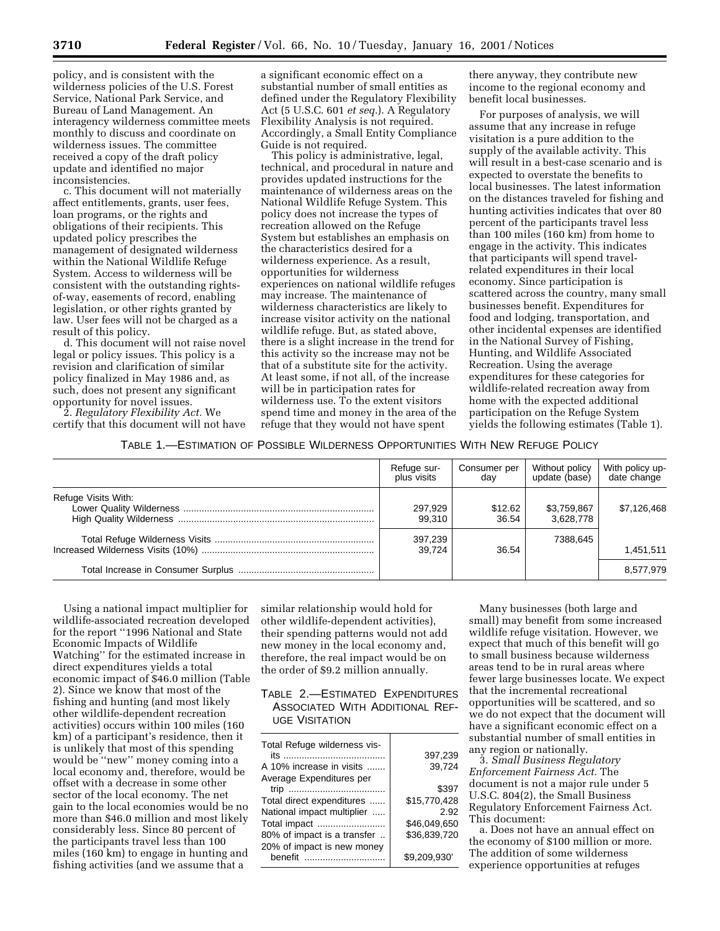policy, and is consistent with the wilderness policies of the U.S. Forest Service, National Park Service, and Bureau of Land Management. An interagency wilderness committee meets monthly to discuss and coordinate on wilderness issues. The committee received a copy of the draft policy update and identified no major inconsistencies.

c. This document will not materially affect entitlements, grants, user fees, loan programs, or the rights and obligations of their recipients. This updated policy prescribes the management of designated wilderness within the National Wildlife Refuge System. Access to wilderness will be consistent with the outstanding rightsof-way, easements of record, enabling legislation, or other rights granted by law. User fees will not be charged as a result of this policy.

d. This document will not raise novel legal or policy issues. This policy is a revision and clarification of similar policy finalized in May 1986 and, as such, does not present any significant opportunity for novel issues.

2. *Regulatory Flexibility Act.* We certify that this document will not have

a significant economic effect on a substantial number of small entities as defined under the Regulatory Flexibility Act (5 U.S.C. 601 *et seq.*). A Regulatory Flexibility Analysis is not required. Accordingly, a Small Entity Compliance Guide is not required.

This policy is administrative, legal, technical, and procedural in nature and provides updated instructions for the maintenance of wilderness areas on the National Wildlife Refuge System. This policy does not increase the types of recreation allowed on the Refuge System but establishes an emphasis on the characteristics desired for a wilderness experience. As a result, opportunities for wilderness experiences on national wildlife refuges may increase. The maintenance of wilderness characteristics are likely to increase visitor activity on the national wildlife refuge. But, as stated above, there is a slight increase in the trend for this activity so the increase may not be that of a substitute site for the activity. At least some, if not all, of the increase will be in participation rates for wilderness use. To the extent visitors spend time and money in the area of the refuge that they would not have spent

there anyway, they contribute new income to the regional economy and benefit local businesses.

For purposes of analysis, we will assume that any increase in refuge visitation is a pure addition to the supply of the available activity. This will result in a best-case scenario and is expected to overstate the benefits to local businesses. The latest information on the distances traveled for fishing and hunting activities indicates that over 80 percent of the participants travel less than 100 miles (160 km) from home to engage in the activity. This indicates that participants will spend travelrelated expenditures in their local economy. Since participation is scattered across the country, many small businesses benefit. Expenditures for food and lodging, transportation, and other incidental expenses are identified in the National Survey of Fishing, Hunting, and Wildlife Associated Recreation. Using the average expenditures for these categories for wildlife-related recreation away from home with the expected additional participation on the Refuge System yields the following estimates (Table 1).

TABLE 1.—ESTIMATION OF POSSIBLE WILDERNESS OPPORTUNITIES WITH NEW REFUGE POLICY

|                     | Refuge sur-<br>plus visits | Consumer per<br>dav | Without policy<br>update (base) | With policy up-<br>date change |
|---------------------|----------------------------|---------------------|---------------------------------|--------------------------------|
| Refuge Visits With: | 297,929<br>99.310          | \$12.62<br>36.54    | \$3,759,867<br>3,628,778        | \$7,126,468                    |
|                     | 397,239<br>39.724          | 36.54               | 7388,645                        | 1,451,511                      |
|                     |                            |                     |                                 | 8,577,979                      |

Using a national impact multiplier for wildlife-associated recreation developed for the report ''1996 National and State Economic Impacts of Wildlife Watching'' for the estimated increase in direct expenditures yields a total economic impact of \$46.0 million (Table 2). Since we know that most of the fishing and hunting (and most likely other wildlife-dependent recreation activities) occurs within 100 miles (160 km) of a participant's residence, then it is unlikely that most of this spending would be ''new'' money coming into a local economy and, therefore, would be offset with a decrease in some other sector of the local economy. The net gain to the local economies would be no more than \$46.0 million and most likely considerably less. Since 80 percent of the participants travel less than 100 miles (160 km) to engage in hunting and fishing activities (and we assume that a

similar relationship would hold for other wildlife-dependent activities), their spending patterns would not add new money in the local economy and, therefore, the real impact would be on the order of \$9.2 million annually.

# TABLE 2.—ESTIMATED EXPENDITURES ASSOCIATED WITH ADDITIONAL REF-UGE VISITATION

| Total Refuge wilderness vis- | 397,239      |
|------------------------------|--------------|
| A 10% increase in visits     | 39,724       |
| Average Expenditures per     |              |
| trip<br>                     | \$397        |
| Total direct expenditures    | \$15,770,428 |
| National impact multiplier   | 2.92         |
| Total impact                 | \$46.049.650 |
| 80% of impact is a transfer  | \$36.839.720 |
| 20% of impact is new money   |              |
| henefit                      | \$9.209.930  |
|                              |              |

Many businesses (both large and small) may benefit from some increased wildlife refuge visitation. However, we expect that much of this benefit will go to small business because wilderness areas tend to be in rural areas where fewer large businesses locate. We expect that the incremental recreational opportunities will be scattered, and so we do not expect that the document will have a significant economic effect on a substantial number of small entities in any region or nationally.

3. *Small Business Regulatory Enforcement Fairness Act.* The document is not a major rule under 5 U.S.C. 804(2), the Small Business Regulatory Enforcement Fairness Act. This document:

a. Does not have an annual effect on the economy of \$100 million or more. The addition of some wilderness experience opportunities at refuges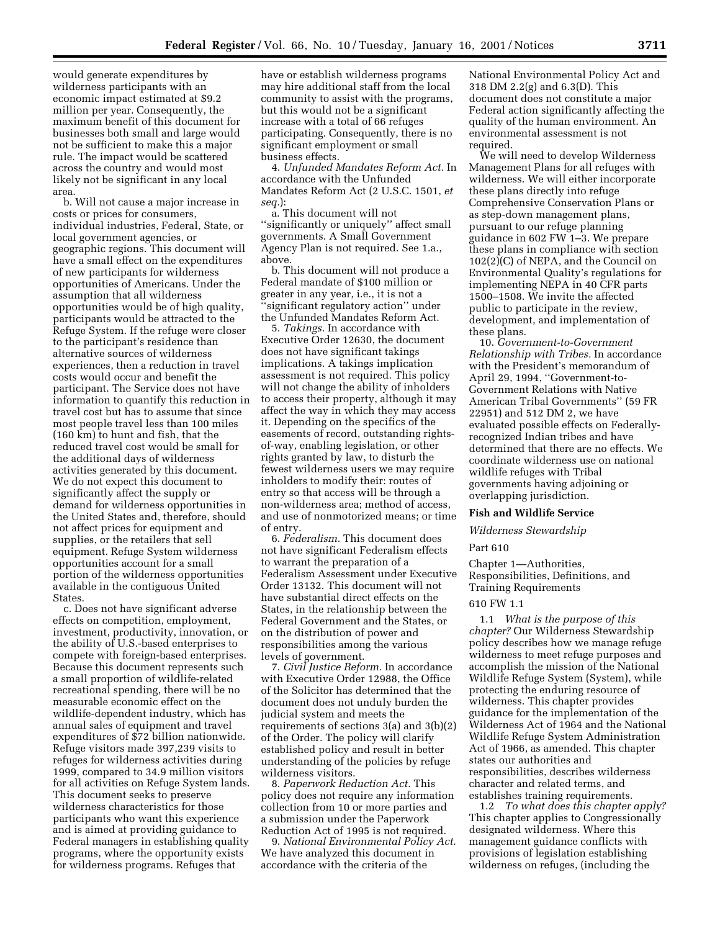would generate expenditures by wilderness participants with an economic impact estimated at \$9.2 million per year. Consequently, the maximum benefit of this document for businesses both small and large would not be sufficient to make this a major rule. The impact would be scattered across the country and would most likely not be significant in any local area.

b. Will not cause a major increase in costs or prices for consumers, individual industries, Federal, State, or local government agencies, or geographic regions. This document will have a small effect on the expenditures of new participants for wilderness opportunities of Americans. Under the assumption that all wilderness opportunities would be of high quality, participants would be attracted to the Refuge System. If the refuge were closer to the participant's residence than alternative sources of wilderness experiences, then a reduction in travel costs would occur and benefit the participant. The Service does not have information to quantify this reduction in travel cost but has to assume that since most people travel less than 100 miles (160 km) to hunt and fish, that the reduced travel cost would be small for the additional days of wilderness activities generated by this document. We do not expect this document to significantly affect the supply or demand for wilderness opportunities in the United States and, therefore, should not affect prices for equipment and supplies, or the retailers that sell equipment. Refuge System wilderness opportunities account for a small portion of the wilderness opportunities available in the contiguous United States.

c. Does not have significant adverse effects on competition, employment, investment, productivity, innovation, or the ability of U.S.-based enterprises to compete with foreign-based enterprises. Because this document represents such a small proportion of wildlife-related recreational spending, there will be no measurable economic effect on the wildlife-dependent industry, which has annual sales of equipment and travel expenditures of \$72 billion nationwide. Refuge visitors made 397,239 visits to refuges for wilderness activities during 1999, compared to 34.9 million visitors for all activities on Refuge System lands. This document seeks to preserve wilderness characteristics for those participants who want this experience and is aimed at providing guidance to Federal managers in establishing quality programs, where the opportunity exists for wilderness programs. Refuges that

have or establish wilderness programs may hire additional staff from the local community to assist with the programs, but this would not be a significant increase with a total of 66 refuges participating. Consequently, there is no significant employment or small business effects.

4. *Unfunded Mandates Reform Act.* In accordance with the Unfunded Mandates Reform Act (2 U.S.C. 1501, *et seq.*):

a. This document will not ''significantly or uniquely'' affect small governments. A Small Government Agency Plan is not required. See 1.a., above.

b. This document will not produce a Federal mandate of \$100 million or greater in any year, i.e., it is not a ''significant regulatory action'' under the Unfunded Mandates Reform Act.

5. *Takings.* In accordance with Executive Order 12630, the document does not have significant takings implications. A takings implication assessment is not required. This policy will not change the ability of inholders to access their property, although it may affect the way in which they may access it. Depending on the specifics of the easements of record, outstanding rightsof-way, enabling legislation, or other rights granted by law, to disturb the fewest wilderness users we may require inholders to modify their: routes of entry so that access will be through a non-wilderness area; method of access, and use of nonmotorized means; or time of entry.

6. *Federalism.* This document does not have significant Federalism effects to warrant the preparation of a Federalism Assessment under Executive Order 13132. This document will not have substantial direct effects on the States, in the relationship between the Federal Government and the States, or on the distribution of power and responsibilities among the various levels of government.

7. *Civil Justice Reform.* In accordance with Executive Order 12988, the Office of the Solicitor has determined that the document does not unduly burden the judicial system and meets the requirements of sections 3(a) and 3(b)(2) of the Order. The policy will clarify established policy and result in better understanding of the policies by refuge wilderness visitors.

8. *Paperwork Reduction Act.* This policy does not require any information collection from 10 or more parties and a submission under the Paperwork Reduction Act of 1995 is not required.

9. *National Environmental Policy Act.* We have analyzed this document in accordance with the criteria of the

National Environmental Policy Act and 318 DM 2.2(g) and 6.3(D). This document does not constitute a major Federal action significantly affecting the quality of the human environment. An environmental assessment is not required.

We will need to develop Wilderness Management Plans for all refuges with wilderness. We will either incorporate these plans directly into refuge Comprehensive Conservation Plans or as step-down management plans, pursuant to our refuge planning guidance in 602 FW 1–3. We prepare these plans in compliance with section 102(2)(C) of NEPA, and the Council on Environmental Quality's regulations for implementing NEPA in 40 CFR parts 1500–1508. We invite the affected public to participate in the review, development, and implementation of these plans.

10. *Government-to-Government Relationship with Tribes.* In accordance with the President's memorandum of April 29, 1994, ''Government-to-Government Relations with Native American Tribal Governments'' (59 FR 22951) and 512 DM 2, we have evaluated possible effects on Federallyrecognized Indian tribes and have determined that there are no effects. We coordinate wilderness use on national wildlife refuges with Tribal governments having adjoining or overlapping jurisdiction.

### **Fish and Wildlife Service**

### *Wilderness Stewardship*

### Part 610

Chapter 1—Authorities, Responsibilities, Definitions, and Training Requirements

### 610 FW 1.1

1.1 *What is the purpose of this chapter?* Our Wilderness Stewardship policy describes how we manage refuge wilderness to meet refuge purposes and accomplish the mission of the National Wildlife Refuge System (System), while protecting the enduring resource of wilderness. This chapter provides guidance for the implementation of the Wilderness Act of 1964 and the National Wildlife Refuge System Administration Act of 1966, as amended. This chapter states our authorities and responsibilities, describes wilderness character and related terms, and establishes training requirements.

1.2 *To what does this chapter apply?* This chapter applies to Congressionally designated wilderness. Where this management guidance conflicts with provisions of legislation establishing wilderness on refuges, (including the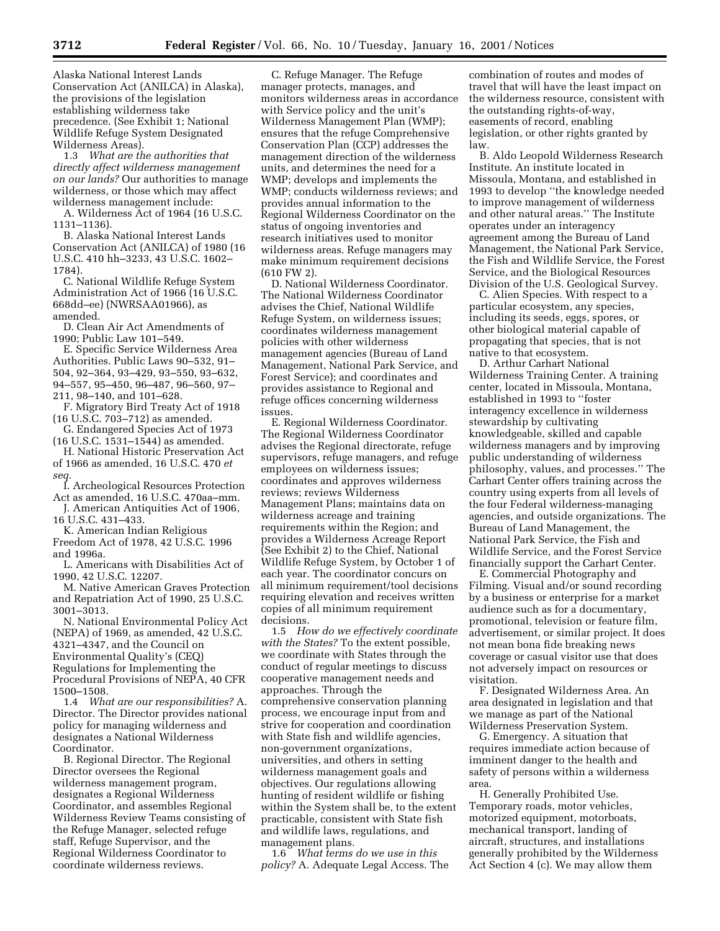Alaska National Interest Lands Conservation Act (ANILCA) in Alaska), the provisions of the legislation establishing wilderness take precedence. (See Exhibit 1; National Wildlife Refuge System Designated Wilderness Areas).

1.3 *What are the authorities that directly affect wilderness management on our lands?* Our authorities to manage wilderness, or those which may affect wilderness management include:

A. Wilderness Act of 1964 (16 U.S.C. 1131–1136).

B. Alaska National Interest Lands Conservation Act (ANILCA) of 1980 (16 U.S.C. 410 hh–3233, 43 U.S.C. 1602– 1784).

C. National Wildlife Refuge System Administration Act of 1966 (16 U.S.C. 668dd–ee) (NWRSAA01966), as amended.

D. Clean Air Act Amendments of 1990; Public Law 101–549.

E. Specific Service Wilderness Area Authorities. Public Laws 90–532, 91– 504, 92–364, 93–429, 93–550, 93–632, 94–557, 95–450, 96–487, 96–560, 97– 211, 98–140, and 101–628.

F. Migratory Bird Treaty Act of 1918 (16 U.S.C. 703–712) as amended.

G. Endangered Species Act of 1973 (16 U.S.C. 1531–1544) as amended.

H. National Historic Preservation Act of 1966 as amended, 16 U.S.C. 470 *et seq.*

I. Archeological Resources Protection Act as amended, 16 U.S.C. 470aa–mm.

J. American Antiquities Act of 1906, 16 U.S.C. 431–433.

K. American Indian Religious Freedom Act of 1978, 42 U.S.C. 1996 and 1996a.

L. Americans with Disabilities Act of 1990, 42 U.S.C. 12207.

M. Native American Graves Protection and Repatriation Act of 1990, 25 U.S.C. 3001–3013.

N. National Environmental Policy Act (NEPA) of 1969, as amended, 42 U.S.C. 4321–4347, and the Council on Environmental Quality's (CEQ) Regulations for Implementing the Procedural Provisions of NEPA, 40 CFR 1500–1508.

1.4 *What are our responsibilities?* A. Director. The Director provides national policy for managing wilderness and designates a National Wilderness Coordinator.

B. Regional Director. The Regional Director oversees the Regional wilderness management program, designates a Regional Wilderness Coordinator, and assembles Regional Wilderness Review Teams consisting of the Refuge Manager, selected refuge staff, Refuge Supervisor, and the Regional Wilderness Coordinator to coordinate wilderness reviews.

C. Refuge Manager. The Refuge manager protects, manages, and monitors wilderness areas in accordance with Service policy and the unit's Wilderness Management Plan (WMP); ensures that the refuge Comprehensive Conservation Plan (CCP) addresses the management direction of the wilderness units, and determines the need for a WMP; develops and implements the WMP; conducts wilderness reviews; and provides annual information to the Regional Wilderness Coordinator on the status of ongoing inventories and research initiatives used to monitor wilderness areas. Refuge managers may make minimum requirement decisions (610 FW 2).

D. National Wilderness Coordinator. The National Wilderness Coordinator advises the Chief, National Wildlife Refuge System, on wilderness issues; coordinates wilderness management policies with other wilderness management agencies (Bureau of Land Management, National Park Service, and Forest Service); and coordinates and provides assistance to Regional and refuge offices concerning wilderness issues.

E. Regional Wilderness Coordinator. The Regional Wilderness Coordinator advises the Regional directorate, refuge supervisors, refuge managers, and refuge employees on wilderness issues; coordinates and approves wilderness reviews; reviews Wilderness Management Plans; maintains data on wilderness acreage and training requirements within the Region; and provides a Wilderness Acreage Report (See Exhibit 2) to the Chief, National Wildlife Refuge System, by October 1 of each year. The coordinator concurs on all minimum requirement/tool decisions requiring elevation and receives written copies of all minimum requirement decisions.

1.5 *How do we effectively coordinate with the States?* To the extent possible, we coordinate with States through the conduct of regular meetings to discuss cooperative management needs and approaches. Through the comprehensive conservation planning process, we encourage input from and strive for cooperation and coordination with State fish and wildlife agencies, non-government organizations, universities, and others in setting wilderness management goals and objectives. Our regulations allowing hunting of resident wildlife or fishing within the System shall be, to the extent practicable, consistent with State fish and wildlife laws, regulations, and management plans.

1.6 *What terms do we use in this policy?* A. Adequate Legal Access. The

combination of routes and modes of travel that will have the least impact on the wilderness resource, consistent with the outstanding rights-of-way, easements of record, enabling legislation, or other rights granted by law.

B. Aldo Leopold Wilderness Research Institute. An institute located in Missoula, Montana, and established in 1993 to develop ''the knowledge needed to improve management of wilderness and other natural areas.'' The Institute operates under an interagency agreement among the Bureau of Land Management, the National Park Service, the Fish and Wildlife Service, the Forest Service, and the Biological Resources Division of the U.S. Geological Survey.

C. Alien Species. With respect to a particular ecosystem, any species, including its seeds, eggs, spores, or other biological material capable of propagating that species, that is not native to that ecosystem.

D. Arthur Carhart National Wilderness Training Center. A training center, located in Missoula, Montana, established in 1993 to ''foster interagency excellence in wilderness stewardship by cultivating knowledgeable, skilled and capable wilderness managers and by improving public understanding of wilderness philosophy, values, and processes.'' The Carhart Center offers training across the country using experts from all levels of the four Federal wilderness-managing agencies, and outside organizations. The Bureau of Land Management, the National Park Service, the Fish and Wildlife Service, and the Forest Service financially support the Carhart Center.

E. Commercial Photography and Filming. Visual and/or sound recording by a business or enterprise for a market audience such as for a documentary, promotional, television or feature film, advertisement, or similar project. It does not mean bona fide breaking news coverage or casual visitor use that does not adversely impact on resources or visitation.

F. Designated Wilderness Area. An area designated in legislation and that we manage as part of the National Wilderness Preservation System.

G. Emergency. A situation that requires immediate action because of imminent danger to the health and safety of persons within a wilderness area.

H. Generally Prohibited Use. Temporary roads, motor vehicles, motorized equipment, motorboats, mechanical transport, landing of aircraft, structures, and installations generally prohibited by the Wilderness Act Section 4 (c). We may allow them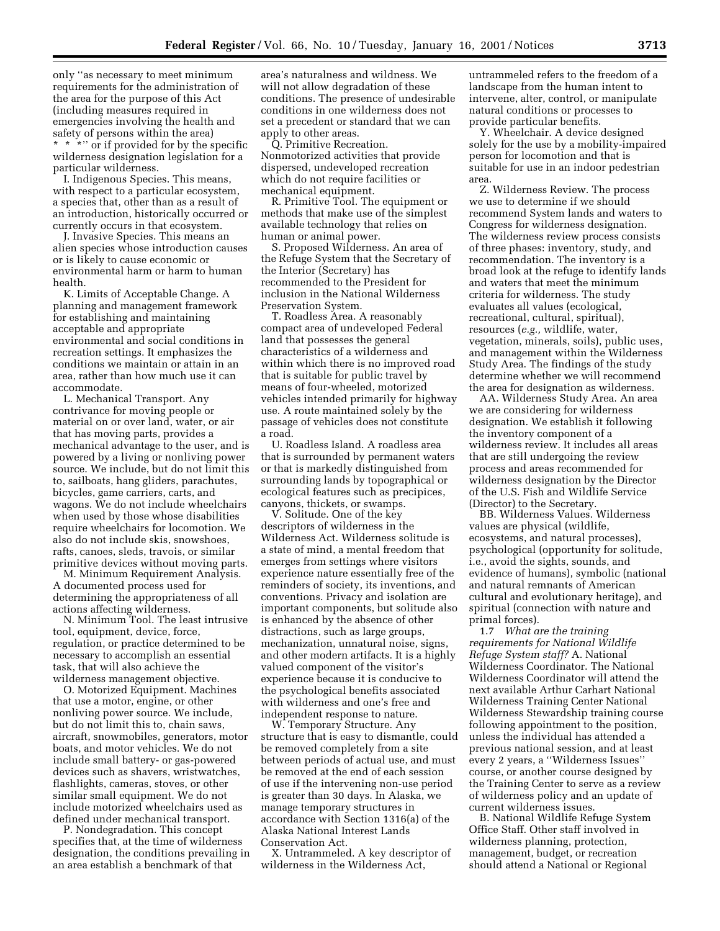only ''as necessary to meet minimum requirements for the administration of the area for the purpose of this Act (including measures required in emergencies involving the health and safety of persons within the area) \* \* \*'' or if provided for by the specific wilderness designation legislation for a particular wilderness.

I. Indigenous Species. This means, with respect to a particular ecosystem, a species that, other than as a result of an introduction, historically occurred or currently occurs in that ecosystem.

J. Invasive Species. This means an alien species whose introduction causes or is likely to cause economic or environmental harm or harm to human health.

K. Limits of Acceptable Change. A planning and management framework for establishing and maintaining acceptable and appropriate environmental and social conditions in recreation settings. It emphasizes the conditions we maintain or attain in an area, rather than how much use it can accommodate.

L. Mechanical Transport. Any contrivance for moving people or material on or over land, water, or air that has moving parts, provides a mechanical advantage to the user, and is powered by a living or nonliving power source. We include, but do not limit this to, sailboats, hang gliders, parachutes, bicycles, game carriers, carts, and wagons. We do not include wheelchairs when used by those whose disabilities require wheelchairs for locomotion. We also do not include skis, snowshoes, rafts, canoes, sleds, travois, or similar primitive devices without moving parts.

M. Minimum Requirement Analysis. A documented process used for determining the appropriateness of all actions affecting wilderness.

N. Minimum Tool. The least intrusive tool, equipment, device, force, regulation, or practice determined to be necessary to accomplish an essential task, that will also achieve the wilderness management objective.

O. Motorized Equipment. Machines that use a motor, engine, or other nonliving power source. We include, but do not limit this to, chain saws, aircraft, snowmobiles, generators, motor boats, and motor vehicles. We do not include small battery- or gas-powered devices such as shavers, wristwatches, flashlights, cameras, stoves, or other similar small equipment. We do not include motorized wheelchairs used as defined under mechanical transport.

P. Nondegradation. This concept specifies that, at the time of wilderness designation, the conditions prevailing in an area establish a benchmark of that

area's naturalness and wildness. We will not allow degradation of these conditions. The presence of undesirable conditions in one wilderness does not set a precedent or standard that we can apply to other areas.

Q. Primitive Recreation. Nonmotorized activities that provide dispersed, undeveloped recreation which do not require facilities or mechanical equipment.

R. Primitive Tool. The equipment or methods that make use of the simplest available technology that relies on human or animal power.

S. Proposed Wilderness. An area of the Refuge System that the Secretary of the Interior (Secretary) has recommended to the President for inclusion in the National Wilderness Preservation System.

T. Roadless Area. A reasonably compact area of undeveloped Federal land that possesses the general characteristics of a wilderness and within which there is no improved road that is suitable for public travel by means of four-wheeled, motorized vehicles intended primarily for highway use. A route maintained solely by the passage of vehicles does not constitute a road.

U. Roadless Island. A roadless area that is surrounded by permanent waters or that is markedly distinguished from surrounding lands by topographical or ecological features such as precipices, canyons, thickets, or swamps.

V. Solitude. One of the key descriptors of wilderness in the Wilderness Act. Wilderness solitude is a state of mind, a mental freedom that emerges from settings where visitors experience nature essentially free of the reminders of society, its inventions, and conventions. Privacy and isolation are important components, but solitude also is enhanced by the absence of other distractions, such as large groups, mechanization, unnatural noise, signs, and other modern artifacts. It is a highly valued component of the visitor's experience because it is conducive to the psychological benefits associated with wilderness and one's free and independent response to nature.

W. Temporary Structure. Any structure that is easy to dismantle, could be removed completely from a site between periods of actual use, and must be removed at the end of each session of use if the intervening non-use period is greater than 30 days. In Alaska, we manage temporary structures in accordance with Section 1316(a) of the Alaska National Interest Lands Conservation Act.

X. Untrammeled. A key descriptor of wilderness in the Wilderness Act,

untrammeled refers to the freedom of a landscape from the human intent to intervene, alter, control, or manipulate natural conditions or processes to provide particular benefits.

Y. Wheelchair. A device designed solely for the use by a mobility-impaired person for locomotion and that is suitable for use in an indoor pedestrian area.

Z. Wilderness Review. The process we use to determine if we should recommend System lands and waters to Congress for wilderness designation. The wilderness review process consists of three phases: inventory, study, and recommendation. The inventory is a broad look at the refuge to identify lands and waters that meet the minimum criteria for wilderness. The study evaluates all values (ecological, recreational, cultural, spiritual), resources (*e.g.,* wildlife, water, vegetation, minerals, soils), public uses, and management within the Wilderness Study Area. The findings of the study determine whether we will recommend the area for designation as wilderness.

AA. Wilderness Study Area. An area we are considering for wilderness designation. We establish it following the inventory component of a wilderness review. It includes all areas that are still undergoing the review process and areas recommended for wilderness designation by the Director of the U.S. Fish and Wildlife Service (Director) to the Secretary.

BB. Wilderness Values. Wilderness values are physical (wildlife, ecosystems, and natural processes), psychological (opportunity for solitude, i.e., avoid the sights, sounds, and evidence of humans), symbolic (national and natural remnants of American cultural and evolutionary heritage), and spiritual (connection with nature and primal forces).

1.7 *What are the training requirements for National Wildlife Refuge System staff?* A. National Wilderness Coordinator. The National Wilderness Coordinator will attend the next available Arthur Carhart National Wilderness Training Center National Wilderness Stewardship training course following appointment to the position, unless the individual has attended a previous national session, and at least every 2 years, a ''Wilderness Issues'' course, or another course designed by the Training Center to serve as a review of wilderness policy and an update of current wilderness issues.

B. National Wildlife Refuge System Office Staff. Other staff involved in wilderness planning, protection, management, budget, or recreation should attend a National or Regional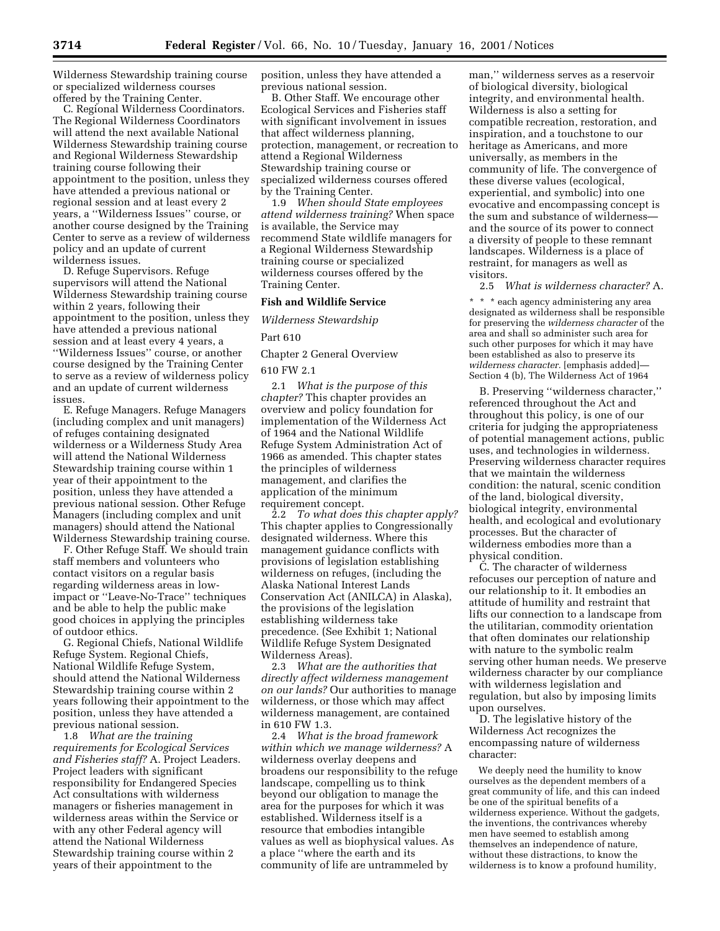Wilderness Stewardship training course or specialized wilderness courses offered by the Training Center.

C. Regional Wilderness Coordinators. The Regional Wilderness Coordinators will attend the next available National Wilderness Stewardship training course and Regional Wilderness Stewardship training course following their appointment to the position, unless they have attended a previous national or regional session and at least every 2 years, a ''Wilderness Issues'' course, or another course designed by the Training Center to serve as a review of wilderness policy and an update of current wilderness issues.

D. Refuge Supervisors. Refuge supervisors will attend the National Wilderness Stewardship training course within 2 years, following their appointment to the position, unless they have attended a previous national session and at least every 4 years, a ''Wilderness Issues'' course, or another course designed by the Training Center to serve as a review of wilderness policy and an update of current wilderness issues.

E. Refuge Managers. Refuge Managers (including complex and unit managers) of refuges containing designated wilderness or a Wilderness Study Area will attend the National Wilderness Stewardship training course within 1 year of their appointment to the position, unless they have attended a previous national session. Other Refuge Managers (including complex and unit managers) should attend the National Wilderness Stewardship training course.

F. Other Refuge Staff. We should train staff members and volunteers who contact visitors on a regular basis regarding wilderness areas in lowimpact or ''Leave-No-Trace'' techniques and be able to help the public make good choices in applying the principles of outdoor ethics.

G. Regional Chiefs, National Wildlife Refuge System. Regional Chiefs, National Wildlife Refuge System, should attend the National Wilderness Stewardship training course within 2 years following their appointment to the position, unless they have attended a previous national session.

1.8 *What are the training requirements for Ecological Services and Fisheries staff?* A. Project Leaders. Project leaders with significant responsibility for Endangered Species Act consultations with wilderness managers or fisheries management in wilderness areas within the Service or with any other Federal agency will attend the National Wilderness Stewardship training course within 2 years of their appointment to the

position, unless they have attended a previous national session.

B. Other Staff. We encourage other Ecological Services and Fisheries staff with significant involvement in issues that affect wilderness planning, protection, management, or recreation to attend a Regional Wilderness Stewardship training course or specialized wilderness courses offered by the Training Center.

1.9 *When should State employees attend wilderness training?* When space is available, the Service may recommend State wildlife managers for a Regional Wilderness Stewardship training course or specialized wilderness courses offered by the Training Center.

### **Fish and Wildlife Service**

*Wilderness Stewardship*

Part 610

Chapter 2 General Overview

610 FW 2.1

2.1 *What is the purpose of this chapter?* This chapter provides an overview and policy foundation for implementation of the Wilderness Act of 1964 and the National Wildlife Refuge System Administration Act of 1966 as amended. This chapter states the principles of wilderness management, and clarifies the application of the minimum requirement concept.

2.2 *To what does this chapter apply?* This chapter applies to Congressionally designated wilderness. Where this management guidance conflicts with provisions of legislation establishing wilderness on refuges, (including the Alaska National Interest Lands Conservation Act (ANILCA) in Alaska), the provisions of the legislation establishing wilderness take precedence. (See Exhibit 1; National Wildlife Refuge System Designated Wilderness Areas).

2.3 *What are the authorities that directly affect wilderness management on our lands?* Our authorities to manage wilderness, or those which may affect wilderness management, are contained in 610 FW 1.3.

2.4 *What is the broad framework within which we manage wilderness?* A wilderness overlay deepens and broadens our responsibility to the refuge landscape, compelling us to think beyond our obligation to manage the area for the purposes for which it was established. Wilderness itself is a resource that embodies intangible values as well as biophysical values. As a place ''where the earth and its community of life are untrammeled by

man,'' wilderness serves as a reservoir of biological diversity, biological integrity, and environmental health. Wilderness is also a setting for compatible recreation, restoration, and inspiration, and a touchstone to our heritage as Americans, and more universally, as members in the community of life. The convergence of these diverse values (ecological, experiential, and symbolic) into one evocative and encompassing concept is the sum and substance of wilderness and the source of its power to connect a diversity of people to these remnant landscapes. Wilderness is a place of restraint, for managers as well as visitors.

2.5 *What is wilderness character?* A.

\* \* \* each agency administering any area designated as wilderness shall be responsible for preserving the *wilderness character* of the area and shall so administer such area for such other purposes for which it may have been established as also to preserve its *wilderness character.* [emphasis added]— Section 4 (b), The Wilderness Act of 1964

B. Preserving ''wilderness character,'' referenced throughout the Act and throughout this policy, is one of our criteria for judging the appropriateness of potential management actions, public uses, and technologies in wilderness. Preserving wilderness character requires that we maintain the wilderness condition: the natural, scenic condition of the land, biological diversity, biological integrity, environmental health, and ecological and evolutionary processes. But the character of wilderness embodies more than a physical condition.

C. The character of wilderness refocuses our perception of nature and our relationship to it. It embodies an attitude of humility and restraint that lifts our connection to a landscape from the utilitarian, commodity orientation that often dominates our relationship with nature to the symbolic realm serving other human needs. We preserve wilderness character by our compliance with wilderness legislation and regulation, but also by imposing limits upon ourselves.

D. The legislative history of the Wilderness Act recognizes the encompassing nature of wilderness character:

We deeply need the humility to know ourselves as the dependent members of a great community of life, and this can indeed be one of the spiritual benefits of a wilderness experience. Without the gadgets, the inventions, the contrivances whereby men have seemed to establish among themselves an independence of nature, without these distractions, to know the wilderness is to know a profound humility,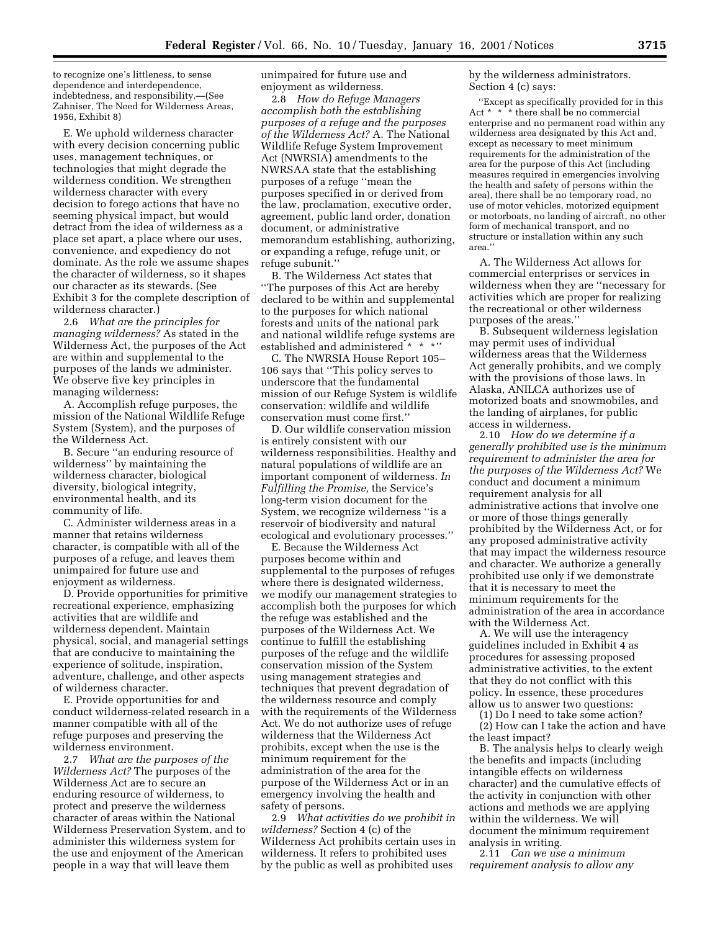to recognize one's littleness, to sense dependence and interdependence, indebtedness, and responsibility.—(See Zahniser, The Need for Wilderness Areas, 1956, Exhibit 8)

E. We uphold wilderness character with every decision concerning public uses, management techniques, or technologies that might degrade the wilderness condition. We strengthen wilderness character with every decision to forego actions that have no seeming physical impact, but would detract from the idea of wilderness as a place set apart, a place where our uses, convenience, and expediency do not dominate. As the role we assume shapes the character of wilderness, so it shapes our character as its stewards. (See Exhibit 3 for the complete description of wilderness character.)

2.6 *What are the principles for managing wilderness?* As stated in the Wilderness Act, the purposes of the Act are within and supplemental to the purposes of the lands we administer. We observe five key principles in managing wilderness:

A. Accomplish refuge purposes, the mission of the National Wildlife Refuge System (System), and the purposes of the Wilderness Act.

B. Secure ''an enduring resource of wilderness'' by maintaining the wilderness character, biological diversity, biological integrity, environmental health, and its community of life.

C. Administer wilderness areas in a manner that retains wilderness character, is compatible with all of the purposes of a refuge, and leaves them unimpaired for future use and enjoyment as wilderness.

D. Provide opportunities for primitive recreational experience, emphasizing activities that are wildlife and wilderness dependent. Maintain physical, social, and managerial settings that are conducive to maintaining the experience of solitude, inspiration, adventure, challenge, and other aspects of wilderness character.

E. Provide opportunities for and conduct wilderness-related research in a manner compatible with all of the refuge purposes and preserving the wilderness environment.

2.7 *What are the purposes of the Wilderness Act?* The purposes of the Wilderness Act are to secure an enduring resource of wilderness, to protect and preserve the wilderness character of areas within the National Wilderness Preservation System, and to administer this wilderness system for the use and enjoyment of the American people in a way that will leave them

unimpaired for future use and enjoyment as wilderness.

2.8 *How do Refuge Managers accomplish both the establishing purposes of a refuge and the purposes of the Wilderness Act?* A. The National Wildlife Refuge System Improvement Act (NWRSIA) amendments to the NWRSAA state that the establishing purposes of a refuge ''mean the purposes specified in or derived from the law, proclamation, executive order, agreement, public land order, donation document, or administrative memorandum establishing, authorizing, or expanding a refuge, refuge unit, or refuge subunit.''

B. The Wilderness Act states that ''The purposes of this Act are hereby declared to be within and supplemental to the purposes for which national forests and units of the national park and national wildlife refuge systems are established and administered \* \* \*''

C. The NWRSIA House Report 105– 106 says that ''This policy serves to underscore that the fundamental mission of our Refuge System is wildlife conservation: wildlife and wildlife conservation must come first.''

D. Our wildlife conservation mission is entirely consistent with our wilderness responsibilities. Healthy and natural populations of wildlife are an important component of wilderness. *In Fulfilling the Promise,* the Service's long-term vision document for the System, we recognize wilderness ''is a reservoir of biodiversity and natural ecological and evolutionary processes.''

E. Because the Wilderness Act purposes become within and supplemental to the purposes of refuges where there is designated wilderness, we modify our management strategies to accomplish both the purposes for which the refuge was established and the purposes of the Wilderness Act. We continue to fulfill the establishing purposes of the refuge and the wildlife conservation mission of the System using management strategies and techniques that prevent degradation of the wilderness resource and comply with the requirements of the Wilderness Act. We do not authorize uses of refuge wilderness that the Wilderness Act prohibits, except when the use is the minimum requirement for the administration of the area for the purpose of the Wilderness Act or in an emergency involving the health and safety of persons.

2.9 *What activities do we prohibit in wilderness?* Section 4 (c) of the Wilderness Act prohibits certain uses in wilderness. It refers to prohibited uses by the public as well as prohibited uses

by the wilderness administrators. Section 4 (c) says:

"Except as specifically provided for in this Act  $* * *$  there shall be no commercial \* there shall be no commercial enterprise and no permanent road within any wilderness area designated by this Act and, except as necessary to meet minimum requirements for the administration of the area for the purpose of this Act (including measures required in emergencies involving the health and safety of persons within the area), there shall be no temporary road, no use of motor vehicles, motorized equipment or motorboats, no landing of aircraft, no other form of mechanical transport, and no structure or installation within any such area.''

A. The Wilderness Act allows for commercial enterprises or services in wilderness when they are ''necessary for activities which are proper for realizing the recreational or other wilderness purposes of the areas.''

B. Subsequent wilderness legislation may permit uses of individual wilderness areas that the Wilderness Act generally prohibits, and we comply with the provisions of those laws. In Alaska, ANILCA authorizes use of motorized boats and snowmobiles, and the landing of airplanes, for public access in wilderness.

2.10 *How do we determine if a generally prohibited use is the minimum requirement to administer the area for the purposes of the Wilderness Act?* We conduct and document a minimum requirement analysis for all administrative actions that involve one or more of those things generally prohibited by the Wilderness Act, or for any proposed administrative activity that may impact the wilderness resource and character. We authorize a generally prohibited use only if we demonstrate that it is necessary to meet the minimum requirements for the administration of the area in accordance with the Wilderness Act.

A. We will use the interagency guidelines included in Exhibit 4 as procedures for assessing proposed administrative activities, to the extent that they do not conflict with this policy. In essence, these procedures allow us to answer two questions:

(1) Do I need to take some action?

(2) How can I take the action and have the least impact?

B. The analysis helps to clearly weigh the benefits and impacts (including intangible effects on wilderness character) and the cumulative effects of the activity in conjunction with other actions and methods we are applying within the wilderness. We will document the minimum requirement analysis in writing.

2.11 *Can we use a minimum requirement analysis to allow any*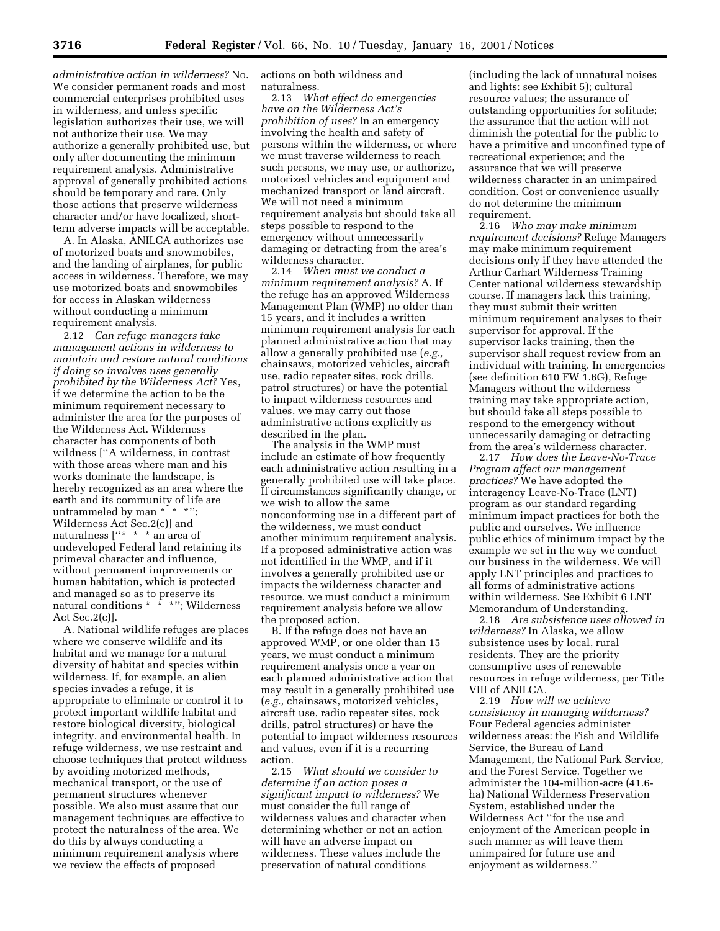*administrative action in wilderness?* No. We consider permanent roads and most commercial enterprises prohibited uses in wilderness, and unless specific legislation authorizes their use, we will not authorize their use. We may authorize a generally prohibited use, but only after documenting the minimum requirement analysis. Administrative approval of generally prohibited actions should be temporary and rare. Only those actions that preserve wilderness character and/or have localized, shortterm adverse impacts will be acceptable.

A. In Alaska, ANILCA authorizes use of motorized boats and snowmobiles, and the landing of airplanes, for public access in wilderness. Therefore, we may use motorized boats and snowmobiles for access in Alaskan wilderness without conducting a minimum requirement analysis.

2.12 *Can refuge managers take management actions in wilderness to maintain and restore natural conditions if doing so involves uses generally prohibited by the Wilderness Act?* Yes, if we determine the action to be the minimum requirement necessary to administer the area for the purposes of the Wilderness Act. Wilderness character has components of both wildness [''A wilderness, in contrast with those areas where man and his works dominate the landscape, is hereby recognized as an area where the earth and its community of life are untrammeled by man \* \* \*''; Wilderness Act Sec.2(c)] and naturalness ["\* \* \* an area of undeveloped Federal land retaining its primeval character and influence, without permanent improvements or human habitation, which is protected and managed so as to preserve its natural conditions \* \* \*"; Wilderness Act Sec.2(c)].

A. National wildlife refuges are places where we conserve wildlife and its habitat and we manage for a natural diversity of habitat and species within wilderness. If, for example, an alien species invades a refuge, it is appropriate to eliminate or control it to protect important wildlife habitat and restore biological diversity, biological integrity, and environmental health. In refuge wilderness, we use restraint and choose techniques that protect wildness by avoiding motorized methods, mechanical transport, or the use of permanent structures whenever possible. We also must assure that our management techniques are effective to protect the naturalness of the area. We do this by always conducting a minimum requirement analysis where we review the effects of proposed

actions on both wildness and naturalness.

2.13 *What effect do emergencies have on the Wilderness Act's prohibition of uses?* In an emergency involving the health and safety of persons within the wilderness, or where we must traverse wilderness to reach such persons, we may use, or authorize, motorized vehicles and equipment and mechanized transport or land aircraft. We will not need a minimum requirement analysis but should take all steps possible to respond to the emergency without unnecessarily damaging or detracting from the area's wilderness character.

2.14 *When must we conduct a minimum requirement analysis?* A. If the refuge has an approved Wilderness Management Plan (WMP) no older than 15 years, and it includes a written minimum requirement analysis for each planned administrative action that may allow a generally prohibited use (*e.g.,* chainsaws, motorized vehicles, aircraft use, radio repeater sites, rock drills, patrol structures) or have the potential to impact wilderness resources and values, we may carry out those administrative actions explicitly as described in the plan.

The analysis in the WMP must include an estimate of how frequently each administrative action resulting in a generally prohibited use will take place. If circumstances significantly change, or we wish to allow the same nonconforming use in a different part of the wilderness, we must conduct another minimum requirement analysis. If a proposed administrative action was not identified in the WMP, and if it involves a generally prohibited use or impacts the wilderness character and resource, we must conduct a minimum requirement analysis before we allow the proposed action.

B. If the refuge does not have an approved WMP, or one older than 15 years, we must conduct a minimum requirement analysis once a year on each planned administrative action that may result in a generally prohibited use (*e.g.,* chainsaws, motorized vehicles, aircraft use, radio repeater sites, rock drills, patrol structures) or have the potential to impact wilderness resources and values, even if it is a recurring action.

2.15 *What should we consider to determine if an action poses a significant impact to wilderness?* We must consider the full range of wilderness values and character when determining whether or not an action will have an adverse impact on wilderness. These values include the preservation of natural conditions

(including the lack of unnatural noises and lights: see Exhibit 5); cultural resource values; the assurance of outstanding opportunities for solitude; the assurance that the action will not diminish the potential for the public to have a primitive and unconfined type of recreational experience; and the assurance that we will preserve wilderness character in an unimpaired condition. Cost or convenience usually do not determine the minimum requirement.

2.16 *Who may make minimum requirement decisions?* Refuge Managers may make minimum requirement decisions only if they have attended the Arthur Carhart Wilderness Training Center national wilderness stewardship course. If managers lack this training, they must submit their written minimum requirement analyses to their supervisor for approval. If the supervisor lacks training, then the supervisor shall request review from an individual with training. In emergencies (see definition 610 FW 1.6G), Refuge Managers without the wilderness training may take appropriate action, but should take all steps possible to respond to the emergency without unnecessarily damaging or detracting from the area's wilderness character.

2.17 *How does the Leave-No-Trace Program affect our management practices?* We have adopted the interagency Leave-No-Trace (LNT) program as our standard regarding minimum impact practices for both the public and ourselves. We influence public ethics of minimum impact by the example we set in the way we conduct our business in the wilderness. We will apply LNT principles and practices to all forms of administrative actions within wilderness. See Exhibit 6 LNT Memorandum of Understanding.

2.18 *Are subsistence uses allowed in wilderness?* In Alaska, we allow subsistence uses by local, rural residents. They are the priority consumptive uses of renewable resources in refuge wilderness, per Title VIII of ANILCA.

2.19 *How will we achieve consistency in managing wilderness?* Four Federal agencies administer wilderness areas: the Fish and Wildlife Service, the Bureau of Land Management, the National Park Service, and the Forest Service. Together we administer the 104-million-acre (41.6 ha) National Wilderness Preservation System, established under the Wilderness Act ''for the use and enjoyment of the American people in such manner as will leave them unimpaired for future use and enjoyment as wilderness.''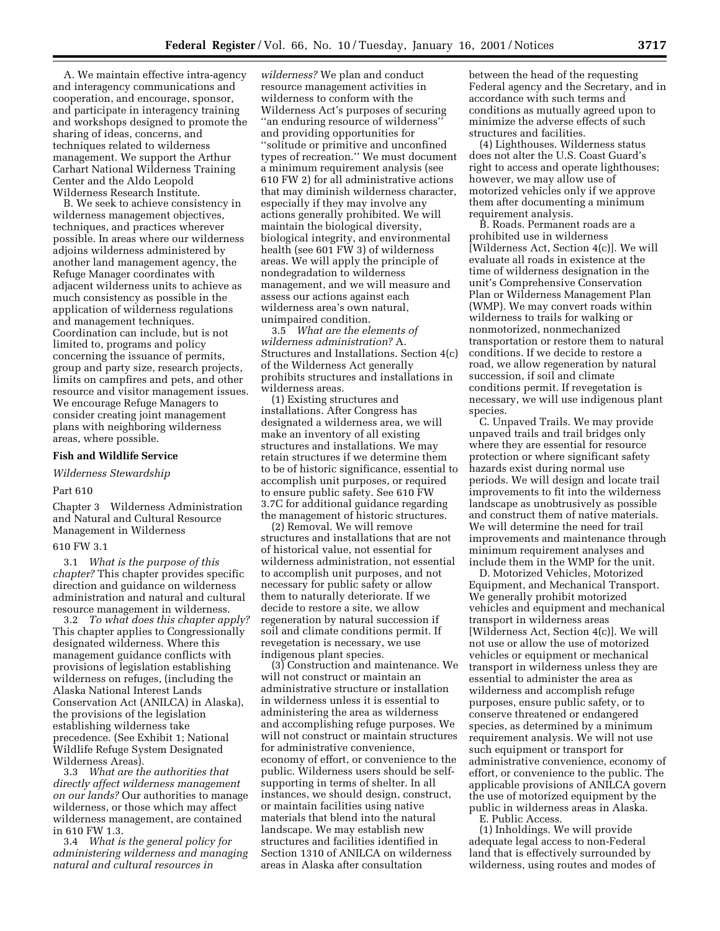A. We maintain effective intra-agency and interagency communications and cooperation, and encourage, sponsor, and participate in interagency training and workshops designed to promote the sharing of ideas, concerns, and techniques related to wilderness management. We support the Arthur Carhart National Wilderness Training Center and the Aldo Leopold Wilderness Research Institute.

B. We seek to achieve consistency in wilderness management objectives, techniques, and practices wherever possible. In areas where our wilderness adjoins wilderness administered by another land management agency, the Refuge Manager coordinates with adjacent wilderness units to achieve as much consistency as possible in the application of wilderness regulations and management techniques. Coordination can include, but is not limited to, programs and policy concerning the issuance of permits, group and party size, research projects, limits on campfires and pets, and other resource and visitor management issues. We encourage Refuge Managers to consider creating joint management plans with neighboring wilderness areas, where possible.

### **Fish and Wildlife Service**

### *Wilderness Stewardship*

### Part 610

Chapter 3 Wilderness Administration and Natural and Cultural Resource Management in Wilderness

### 610 FW 3.1

3.1 *What is the purpose of this chapter?* This chapter provides specific direction and guidance on wilderness administration and natural and cultural resource management in wilderness.

3.2 *To what does this chapter apply?* This chapter applies to Congressionally designated wilderness. Where this management guidance conflicts with provisions of legislation establishing wilderness on refuges, (including the Alaska National Interest Lands Conservation Act (ANILCA) in Alaska), the provisions of the legislation establishing wilderness take precedence. (See Exhibit 1; National Wildlife Refuge System Designated Wilderness Areas).

3.3 *What are the authorities that directly affect wilderness management on our lands?* Our authorities to manage wilderness, or those which may affect wilderness management, are contained in 610 FW 1.3.

3.4 *What is the general policy for administering wilderness and managing natural and cultural resources in*

*wilderness?* We plan and conduct resource management activities in wilderness to conform with the Wilderness Act's purposes of securing ''an enduring resource of wilderness'' and providing opportunities for ''solitude or primitive and unconfined types of recreation.'' We must document a minimum requirement analysis (see 610 FW 2) for all administrative actions that may diminish wilderness character, especially if they may involve any actions generally prohibited. We will maintain the biological diversity, biological integrity, and environmental health (see 601 FW 3) of wilderness areas. We will apply the principle of nondegradation to wilderness management, and we will measure and assess our actions against each wilderness area's own natural, unimpaired condition.

3.5 *What are the elements of wilderness administration?* A. Structures and Installations. Section 4(c) of the Wilderness Act generally prohibits structures and installations in wilderness areas.

(1) Existing structures and installations. After Congress has designated a wilderness area, we will make an inventory of all existing structures and installations. We may retain structures if we determine them to be of historic significance, essential to accomplish unit purposes, or required to ensure public safety. See 610 FW 3.7C for additional guidance regarding the management of historic structures.

(2) Removal. We will remove structures and installations that are not of historical value, not essential for wilderness administration, not essential to accomplish unit purposes, and not necessary for public safety or allow them to naturally deteriorate. If we decide to restore a site, we allow regeneration by natural succession if soil and climate conditions permit. If revegetation is necessary, we use indigenous plant species.

(3) Construction and maintenance. We will not construct or maintain an administrative structure or installation in wilderness unless it is essential to administering the area as wilderness and accomplishing refuge purposes. We will not construct or maintain structures for administrative convenience, economy of effort, or convenience to the public. Wilderness users should be selfsupporting in terms of shelter. In all instances, we should design, construct, or maintain facilities using native materials that blend into the natural landscape. We may establish new structures and facilities identified in Section 1310 of ANILCA on wilderness areas in Alaska after consultation

between the head of the requesting Federal agency and the Secretary, and in accordance with such terms and conditions as mutually agreed upon to minimize the adverse effects of such structures and facilities.

(4) Lighthouses. Wilderness status does not alter the U.S. Coast Guard's right to access and operate lighthouses; however, we may allow use of motorized vehicles only if we approve them after documenting a minimum requirement analysis.

B. Roads. Permanent roads are a prohibited use in wilderness [Wilderness Act, Section 4(c)]. We will evaluate all roads in existence at the time of wilderness designation in the unit's Comprehensive Conservation Plan or Wilderness Management Plan (WMP). We may convert roads within wilderness to trails for walking or nonmotorized, nonmechanized transportation or restore them to natural conditions. If we decide to restore a road, we allow regeneration by natural succession, if soil and climate conditions permit. If revegetation is necessary, we will use indigenous plant species.

C. Unpaved Trails. We may provide unpaved trails and trail bridges only where they are essential for resource protection or where significant safety hazards exist during normal use periods. We will design and locate trail improvements to fit into the wilderness landscape as unobtrusively as possible and construct them of native materials. We will determine the need for trail improvements and maintenance through minimum requirement analyses and include them in the WMP for the unit.

D. Motorized Vehicles, Motorized Equipment, and Mechanical Transport. We generally prohibit motorized vehicles and equipment and mechanical transport in wilderness areas [Wilderness Act, Section 4(c)]. We will not use or allow the use of motorized vehicles or equipment or mechanical transport in wilderness unless they are essential to administer the area as wilderness and accomplish refuge purposes, ensure public safety, or to conserve threatened or endangered species, as determined by a minimum requirement analysis. We will not use such equipment or transport for administrative convenience, economy of effort, or convenience to the public. The applicable provisions of ANILCA govern the use of motorized equipment by the public in wilderness areas in Alaska.

E. Public Access.

(1) Inholdings. We will provide adequate legal access to non-Federal land that is effectively surrounded by wilderness, using routes and modes of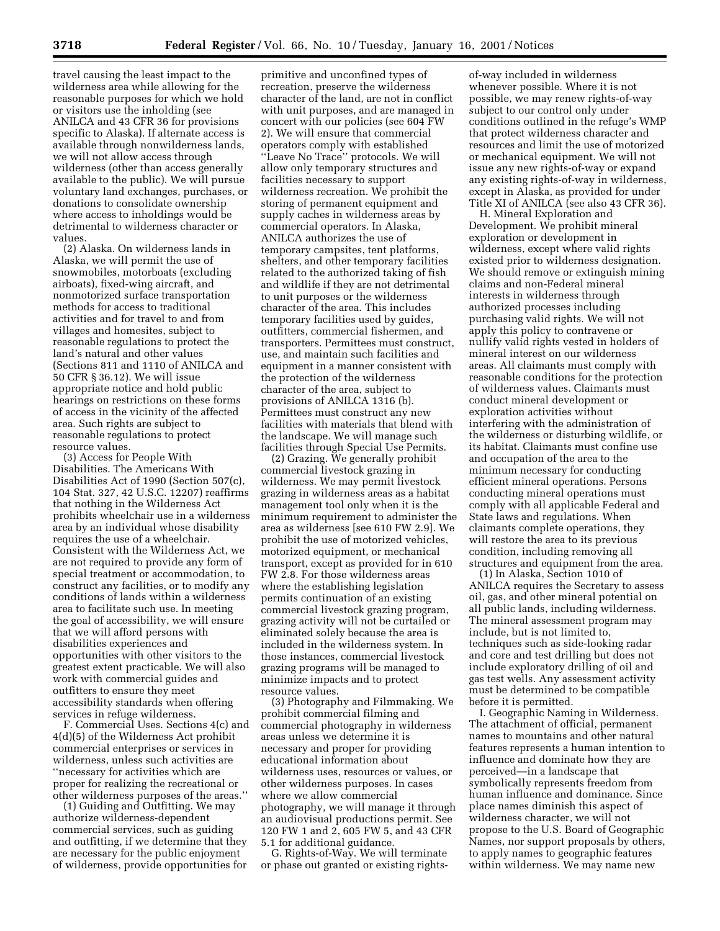travel causing the least impact to the wilderness area while allowing for the reasonable purposes for which we hold or visitors use the inholding (see ANILCA and 43 CFR 36 for provisions specific to Alaska). If alternate access is available through nonwilderness lands, we will not allow access through wilderness (other than access generally available to the public). We will pursue voluntary land exchanges, purchases, or donations to consolidate ownership where access to inholdings would be detrimental to wilderness character or values.

(2) Alaska. On wilderness lands in Alaska, we will permit the use of snowmobiles, motorboats (excluding airboats), fixed-wing aircraft, and nonmotorized surface transportation methods for access to traditional activities and for travel to and from villages and homesites, subject to reasonable regulations to protect the land's natural and other values (Sections 811 and 1110 of ANILCA and 50 CFR § 36.12). We will issue appropriate notice and hold public hearings on restrictions on these forms of access in the vicinity of the affected area. Such rights are subject to reasonable regulations to protect resource values.

(3) Access for People With Disabilities. The Americans With Disabilities Act of 1990 (Section 507(c), 104 Stat. 327, 42 U.S.C. 12207) reaffirms that nothing in the Wilderness Act prohibits wheelchair use in a wilderness area by an individual whose disability requires the use of a wheelchair. Consistent with the Wilderness Act, we are not required to provide any form of special treatment or accommodation, to construct any facilities, or to modify any conditions of lands within a wilderness area to facilitate such use. In meeting the goal of accessibility, we will ensure that we will afford persons with disabilities experiences and opportunities with other visitors to the greatest extent practicable. We will also work with commercial guides and outfitters to ensure they meet accessibility standards when offering services in refuge wilderness.

F. Commercial Uses. Sections 4(c) and 4(d)(5) of the Wilderness Act prohibit commercial enterprises or services in wilderness, unless such activities are ''necessary for activities which are proper for realizing the recreational or other wilderness purposes of the areas.''

(1) Guiding and Outfitting. We may authorize wilderness-dependent commercial services, such as guiding and outfitting, if we determine that they are necessary for the public enjoyment of wilderness, provide opportunities for

primitive and unconfined types of recreation, preserve the wilderness character of the land, are not in conflict with unit purposes, and are managed in concert with our policies (see 604 FW 2). We will ensure that commercial operators comply with established ''Leave No Trace'' protocols. We will allow only temporary structures and facilities necessary to support wilderness recreation. We prohibit the storing of permanent equipment and supply caches in wilderness areas by commercial operators. In Alaska, ANILCA authorizes the use of temporary campsites, tent platforms, shelters, and other temporary facilities related to the authorized taking of fish and wildlife if they are not detrimental to unit purposes or the wilderness character of the area. This includes temporary facilities used by guides, outfitters, commercial fishermen, and transporters. Permittees must construct, use, and maintain such facilities and equipment in a manner consistent with the protection of the wilderness character of the area, subject to provisions of ANILCA 1316 (b). Permittees must construct any new facilities with materials that blend with the landscape. We will manage such facilities through Special Use Permits.

(2) Grazing. We generally prohibit commercial livestock grazing in wilderness. We may permit livestock grazing in wilderness areas as a habitat management tool only when it is the minimum requirement to administer the area as wilderness [see 610 FW 2.9]. We prohibit the use of motorized vehicles, motorized equipment, or mechanical transport, except as provided for in 610 FW 2.8. For those wilderness areas where the establishing legislation permits continuation of an existing commercial livestock grazing program, grazing activity will not be curtailed or eliminated solely because the area is included in the wilderness system. In those instances, commercial livestock grazing programs will be managed to minimize impacts and to protect resource values.

(3) Photography and Filmmaking. We prohibit commercial filming and commercial photography in wilderness areas unless we determine it is necessary and proper for providing educational information about wilderness uses, resources or values, or other wilderness purposes. In cases where we allow commercial photography, we will manage it through an audiovisual productions permit. See 120 FW 1 and 2, 605 FW 5, and 43 CFR 5.1 for additional guidance.

G. Rights-of-Way. We will terminate or phase out granted or existing rights-

of-way included in wilderness whenever possible. Where it is not possible, we may renew rights-of-way subject to our control only under conditions outlined in the refuge's WMP that protect wilderness character and resources and limit the use of motorized or mechanical equipment. We will not issue any new rights-of-way or expand any existing rights-of-way in wilderness, except in Alaska, as provided for under Title XI of ANILCA (see also 43 CFR 36).

H. Mineral Exploration and Development. We prohibit mineral exploration or development in wilderness, except where valid rights existed prior to wilderness designation. We should remove or extinguish mining claims and non-Federal mineral interests in wilderness through authorized processes including purchasing valid rights. We will not apply this policy to contravene or nullify valid rights vested in holders of mineral interest on our wilderness areas. All claimants must comply with reasonable conditions for the protection of wilderness values. Claimants must conduct mineral development or exploration activities without interfering with the administration of the wilderness or disturbing wildlife, or its habitat. Claimants must confine use and occupation of the area to the minimum necessary for conducting efficient mineral operations. Persons conducting mineral operations must comply with all applicable Federal and State laws and regulations. When claimants complete operations, they will restore the area to its previous condition, including removing all structures and equipment from the area.

(1) In Alaska, Section 1010 of ANILCA requires the Secretary to assess oil, gas, and other mineral potential on all public lands, including wilderness. The mineral assessment program may include, but is not limited to, techniques such as side-looking radar and core and test drilling but does not include exploratory drilling of oil and gas test wells. Any assessment activity must be determined to be compatible before it is permitted.

I. Geographic Naming in Wilderness. The attachment of official, permanent names to mountains and other natural features represents a human intention to influence and dominate how they are perceived—in a landscape that symbolically represents freedom from human influence and dominance. Since place names diminish this aspect of wilderness character, we will not propose to the U.S. Board of Geographic Names, nor support proposals by others, to apply names to geographic features within wilderness. We may name new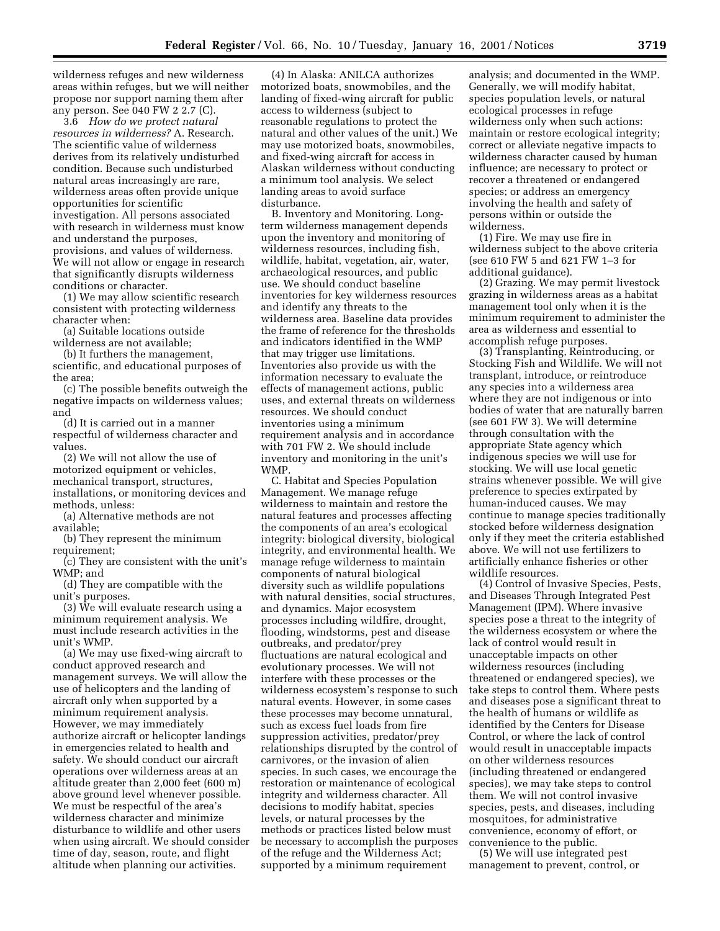wilderness refuges and new wilderness areas within refuges, but we will neither propose nor support naming them after any person. See 040 FW 2 2.7 (C).

3.6 *How do we protect natural resources in wilderness?* A. Research. The scientific value of wilderness derives from its relatively undisturbed condition. Because such undisturbed natural areas increasingly are rare, wilderness areas often provide unique opportunities for scientific investigation. All persons associated with research in wilderness must know and understand the purposes, provisions, and values of wilderness. We will not allow or engage in research that significantly disrupts wilderness conditions or character.

(1) We may allow scientific research consistent with protecting wilderness character when:

(a) Suitable locations outside wilderness are not available;

(b) It furthers the management, scientific, and educational purposes of the area;

(c) The possible benefits outweigh the negative impacts on wilderness values; and

(d) It is carried out in a manner respectful of wilderness character and values.

(2) We will not allow the use of motorized equipment or vehicles, mechanical transport, structures, installations, or monitoring devices and methods, unless:

(a) Alternative methods are not available;

(b) They represent the minimum requirement;

(c) They are consistent with the unit's WMP; and

(d) They are compatible with the unit's purposes.

(3) We will evaluate research using a minimum requirement analysis. We must include research activities in the unit's WMP.

(a) We may use fixed-wing aircraft to conduct approved research and management surveys. We will allow the use of helicopters and the landing of aircraft only when supported by a minimum requirement analysis. However, we may immediately authorize aircraft or helicopter landings in emergencies related to health and safety. We should conduct our aircraft operations over wilderness areas at an altitude greater than 2,000 feet (600 m) above ground level whenever possible. We must be respectful of the area's wilderness character and minimize disturbance to wildlife and other users when using aircraft. We should consider time of day, season, route, and flight altitude when planning our activities.

(4) In Alaska: ANILCA authorizes motorized boats, snowmobiles, and the landing of fixed-wing aircraft for public access to wilderness (subject to reasonable regulations to protect the natural and other values of the unit.) We may use motorized boats, snowmobiles, and fixed-wing aircraft for access in Alaskan wilderness without conducting a minimum tool analysis. We select landing areas to avoid surface disturbance.

B. Inventory and Monitoring. Longterm wilderness management depends upon the inventory and monitoring of wilderness resources, including fish, wildlife, habitat, vegetation, air, water, archaeological resources, and public use. We should conduct baseline inventories for key wilderness resources and identify any threats to the wilderness area. Baseline data provides the frame of reference for the thresholds and indicators identified in the WMP that may trigger use limitations. Inventories also provide us with the information necessary to evaluate the effects of management actions, public uses, and external threats on wilderness resources. We should conduct inventories using a minimum requirement analysis and in accordance with 701 FW 2. We should include inventory and monitoring in the unit's WMP.

C. Habitat and Species Population Management. We manage refuge wilderness to maintain and restore the natural features and processes affecting the components of an area's ecological integrity: biological diversity, biological integrity, and environmental health. We manage refuge wilderness to maintain components of natural biological diversity such as wildlife populations with natural densities, social structures, and dynamics. Major ecosystem processes including wildfire, drought, flooding, windstorms, pest and disease outbreaks, and predator/prey fluctuations are natural ecological and evolutionary processes. We will not interfere with these processes or the wilderness ecosystem's response to such natural events. However, in some cases these processes may become unnatural, such as excess fuel loads from fire suppression activities, predator/prey relationships disrupted by the control of carnivores, or the invasion of alien species. In such cases, we encourage the restoration or maintenance of ecological integrity and wilderness character. All decisions to modify habitat, species levels, or natural processes by the methods or practices listed below must be necessary to accomplish the purposes of the refuge and the Wilderness Act; supported by a minimum requirement

analysis; and documented in the WMP. Generally, we will modify habitat, species population levels, or natural ecological processes in refuge wilderness only when such actions: maintain or restore ecological integrity; correct or alleviate negative impacts to wilderness character caused by human influence; are necessary to protect or recover a threatened or endangered species; or address an emergency involving the health and safety of persons within or outside the wilderness.

(1) Fire. We may use fire in wilderness subject to the above criteria (see 610 FW 5 and 621 FW 1–3 for additional guidance).

(2) Grazing. We may permit livestock grazing in wilderness areas as a habitat management tool only when it is the minimum requirement to administer the area as wilderness and essential to accomplish refuge purposes.

(3) Transplanting, Reintroducing, or Stocking Fish and Wildlife. We will not transplant, introduce, or reintroduce any species into a wilderness area where they are not indigenous or into bodies of water that are naturally barren (see 601 FW 3). We will determine through consultation with the appropriate State agency which indigenous species we will use for stocking. We will use local genetic strains whenever possible. We will give preference to species extirpated by human-induced causes. We may continue to manage species traditionally stocked before wilderness designation only if they meet the criteria established above. We will not use fertilizers to artificially enhance fisheries or other wildlife resources.

(4) Control of Invasive Species, Pests, and Diseases Through Integrated Pest Management (IPM). Where invasive species pose a threat to the integrity of the wilderness ecosystem or where the lack of control would result in unacceptable impacts on other wilderness resources (including threatened or endangered species), we take steps to control them. Where pests and diseases pose a significant threat to the health of humans or wildlife as identified by the Centers for Disease Control, or where the lack of control would result in unacceptable impacts on other wilderness resources (including threatened or endangered species), we may take steps to control them. We will not control invasive species, pests, and diseases, including mosquitoes, for administrative convenience, economy of effort, or convenience to the public.

(5) We will use integrated pest management to prevent, control, or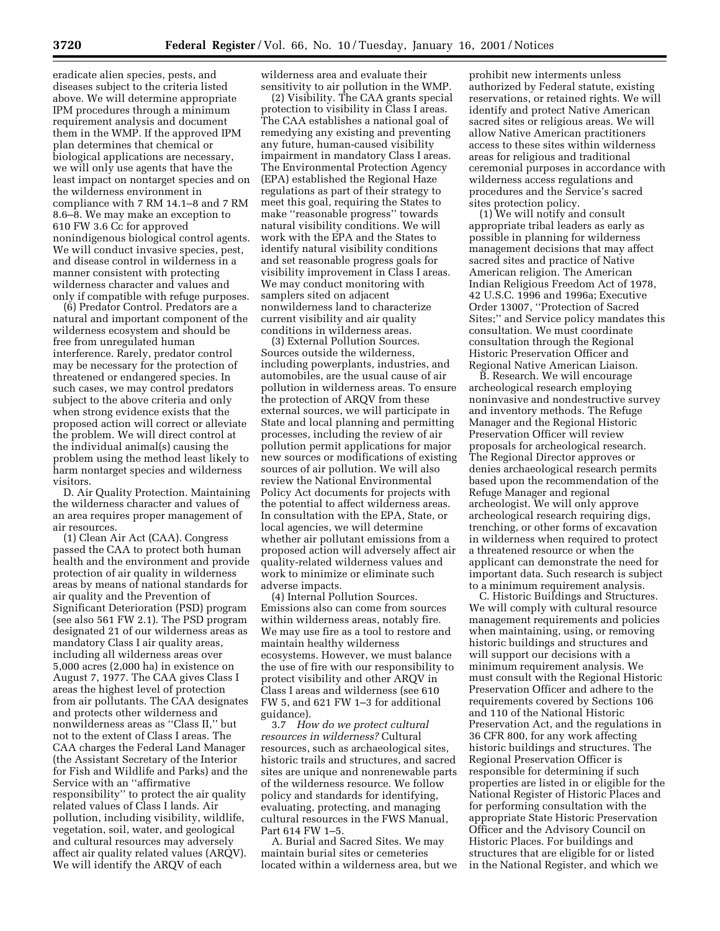eradicate alien species, pests, and diseases subject to the criteria listed above. We will determine appropriate IPM procedures through a minimum requirement analysis and document them in the WMP. If the approved IPM plan determines that chemical or biological applications are necessary, we will only use agents that have the least impact on nontarget species and on the wilderness environment in compliance with 7 RM 14.1–8 and 7 RM 8.6–8. We may make an exception to 610 FW 3.6 Cc for approved nonindigenous biological control agents. We will conduct invasive species, pest, and disease control in wilderness in a manner consistent with protecting wilderness character and values and only if compatible with refuge purposes.

(6) Predator Control. Predators are a natural and important component of the wilderness ecosystem and should be free from unregulated human interference. Rarely, predator control may be necessary for the protection of threatened or endangered species. In such cases, we may control predators subject to the above criteria and only when strong evidence exists that the proposed action will correct or alleviate the problem. We will direct control at the individual animal(s) causing the problem using the method least likely to harm nontarget species and wilderness visitors.

D. Air Quality Protection. Maintaining the wilderness character and values of an area requires proper management of air resources.

(1) Clean Air Act (CAA). Congress passed the CAA to protect both human health and the environment and provide protection of air quality in wilderness areas by means of national standards for air quality and the Prevention of Significant Deterioration (PSD) program (see also 561 FW 2.1). The PSD program designated 21 of our wilderness areas as mandatory Class I air quality areas, including all wilderness areas over 5,000 acres (2,000 ha) in existence on August 7, 1977. The CAA gives Class I areas the highest level of protection from air pollutants. The CAA designates and protects other wilderness and nonwilderness areas as ''Class II,'' but not to the extent of Class I areas. The CAA charges the Federal Land Manager (the Assistant Secretary of the Interior for Fish and Wildlife and Parks) and the Service with an ''affirmative responsibility'' to protect the air quality related values of Class I lands. Air pollution, including visibility, wildlife, vegetation, soil, water, and geological and cultural resources may adversely affect air quality related values (ARQV). We will identify the ARQV of each

wilderness area and evaluate their sensitivity to air pollution in the WMP.

(2) Visibility. The CAA grants special protection to visibility in Class I areas. The CAA establishes a national goal of remedying any existing and preventing any future, human-caused visibility impairment in mandatory Class I areas. The Environmental Protection Agency (EPA) established the Regional Haze regulations as part of their strategy to meet this goal, requiring the States to make ''reasonable progress'' towards natural visibility conditions. We will work with the EPA and the States to identify natural visibility conditions and set reasonable progress goals for visibility improvement in Class I areas. We may conduct monitoring with samplers sited on adjacent nonwilderness land to characterize current visibility and air quality conditions in wilderness areas.

(3) External Pollution Sources. Sources outside the wilderness, including powerplants, industries, and automobiles, are the usual cause of air pollution in wilderness areas. To ensure the protection of ARQV from these external sources, we will participate in State and local planning and permitting processes, including the review of air pollution permit applications for major new sources or modifications of existing sources of air pollution. We will also review the National Environmental Policy Act documents for projects with the potential to affect wilderness areas. In consultation with the EPA, State, or local agencies, we will determine whether air pollutant emissions from a proposed action will adversely affect air quality-related wilderness values and work to minimize or eliminate such adverse impacts.

(4) Internal Pollution Sources. Emissions also can come from sources within wilderness areas, notably fire. We may use fire as a tool to restore and maintain healthy wilderness ecosystems. However, we must balance the use of fire with our responsibility to protect visibility and other ARQV in Class I areas and wilderness (see 610 FW 5, and 621 FW 1–3 for additional guidance).

3.7 *How do we protect cultural resources in wilderness?* Cultural resources, such as archaeological sites, historic trails and structures, and sacred sites are unique and nonrenewable parts of the wilderness resource. We follow policy and standards for identifying, evaluating, protecting, and managing cultural resources in the FWS Manual, Part 614 FW 1–5.

A. Burial and Sacred Sites. We may maintain burial sites or cemeteries located within a wilderness area, but we

prohibit new interments unless authorized by Federal statute, existing reservations, or retained rights. We will identify and protect Native American sacred sites or religious areas. We will allow Native American practitioners access to these sites within wilderness areas for religious and traditional ceremonial purposes in accordance with wilderness access regulations and procedures and the Service's sacred sites protection policy.

(1) We will notify and consult appropriate tribal leaders as early as possible in planning for wilderness management decisions that may affect sacred sites and practice of Native American religion. The American Indian Religious Freedom Act of 1978, 42 U.S.C. 1996 and 1996a; Executive Order 13007, ''Protection of Sacred Sites;'' and Service policy mandates this consultation. We must coordinate consultation through the Regional Historic Preservation Officer and Regional Native American Liaison.

B. Research. We will encourage archeological research employing noninvasive and nondestructive survey and inventory methods. The Refuge Manager and the Regional Historic Preservation Officer will review proposals for archeological research. The Regional Director approves or denies archaeological research permits based upon the recommendation of the Refuge Manager and regional archeologist. We will only approve archeological research requiring digs, trenching, or other forms of excavation in wilderness when required to protect a threatened resource or when the applicant can demonstrate the need for important data. Such research is subject to a minimum requirement analysis.

C. Historic Buildings and Structures. We will comply with cultural resource management requirements and policies when maintaining, using, or removing historic buildings and structures and will support our decisions with a minimum requirement analysis. We must consult with the Regional Historic Preservation Officer and adhere to the requirements covered by Sections 106 and 110 of the National Historic Preservation Act, and the regulations in 36 CFR 800, for any work affecting historic buildings and structures. The Regional Preservation Officer is responsible for determining if such properties are listed in or eligible for the National Register of Historic Places and for performing consultation with the appropriate State Historic Preservation Officer and the Advisory Council on Historic Places. For buildings and structures that are eligible for or listed in the National Register, and which we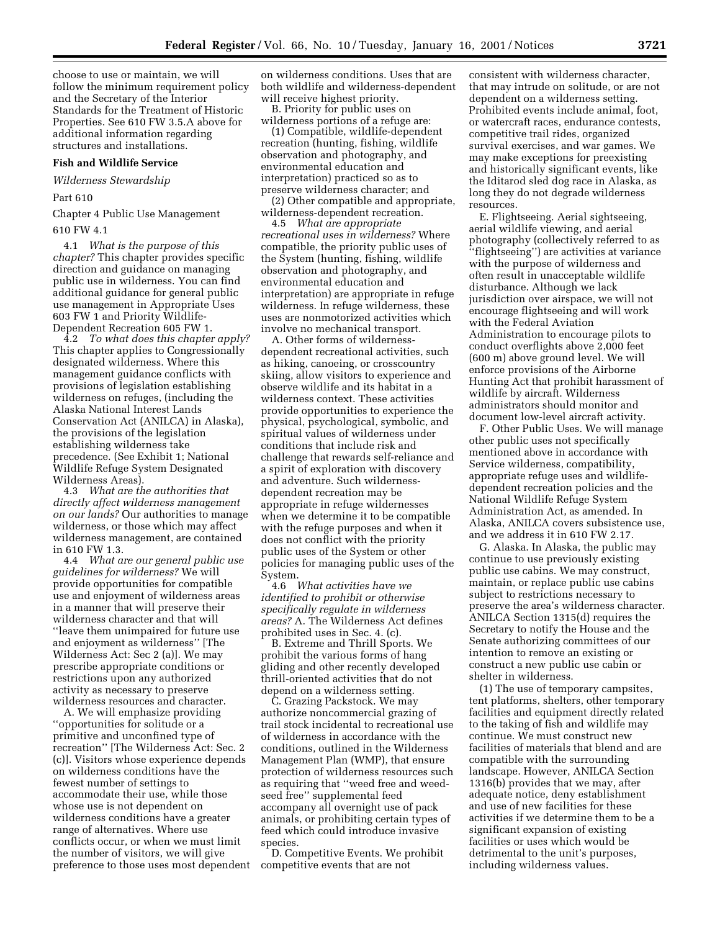choose to use or maintain, we will follow the minimum requirement policy and the Secretary of the Interior Standards for the Treatment of Historic Properties. See 610 FW 3.5.A above for additional information regarding structures and installations.

### **Fish and Wildlife Service**

*Wilderness Stewardship*

Part 610

Chapter 4 Public Use Management

610 FW 4.1

4.1 *What is the purpose of this chapter?* This chapter provides specific direction and guidance on managing public use in wilderness. You can find additional guidance for general public use management in Appropriate Uses 603 FW 1 and Priority Wildlife-Dependent Recreation 605 FW 1.

4.2 *To what does this chapter apply?* This chapter applies to Congressionally designated wilderness. Where this management guidance conflicts with provisions of legislation establishing wilderness on refuges, (including the Alaska National Interest Lands Conservation Act (ANILCA) in Alaska), the provisions of the legislation establishing wilderness take precedence. (See Exhibit 1; National Wildlife Refuge System Designated Wilderness Areas).

4.3 *What are the authorities that directly affect wilderness management on our lands?* Our authorities to manage wilderness, or those which may affect wilderness management, are contained in 610 FW 1.3.

4.4 *What are our general public use guidelines for wilderness?* We will provide opportunities for compatible use and enjoyment of wilderness areas in a manner that will preserve their wilderness character and that will ''leave them unimpaired for future use and enjoyment as wilderness'' [The Wilderness Act: Sec 2 (a)]. We may prescribe appropriate conditions or restrictions upon any authorized activity as necessary to preserve wilderness resources and character.

A. We will emphasize providing ''opportunities for solitude or a primitive and unconfined type of recreation'' [The Wilderness Act: Sec. 2 (c)]. Visitors whose experience depends on wilderness conditions have the fewest number of settings to accommodate their use, while those whose use is not dependent on wilderness conditions have a greater range of alternatives. Where use conflicts occur, or when we must limit the number of visitors, we will give preference to those uses most dependent on wilderness conditions. Uses that are both wildlife and wilderness-dependent will receive highest priority.

B. Priority for public uses on wilderness portions of a refuge are:

(1) Compatible, wildlife-dependent recreation (hunting, fishing, wildlife observation and photography, and environmental education and interpretation) practiced so as to preserve wilderness character; and

(2) Other compatible and appropriate, wilderness-dependent recreation.

4.5 *What are appropriate recreational uses in wilderness?* Where compatible, the priority public uses of the System (hunting, fishing, wildlife observation and photography, and environmental education and interpretation) are appropriate in refuge wilderness. In refuge wilderness, these uses are nonmotorized activities which involve no mechanical transport.

A. Other forms of wildernessdependent recreational activities, such as hiking, canoeing, or crosscountry skiing, allow visitors to experience and observe wildlife and its habitat in a wilderness context. These activities provide opportunities to experience the physical, psychological, symbolic, and spiritual values of wilderness under conditions that include risk and challenge that rewards self-reliance and a spirit of exploration with discovery and adventure. Such wildernessdependent recreation may be appropriate in refuge wildernesses when we determine it to be compatible with the refuge purposes and when it does not conflict with the priority public uses of the System or other policies for managing public uses of the System.

4.6 *What activities have we identified to prohibit or otherwise specifically regulate in wilderness areas?* A. The Wilderness Act defines prohibited uses in Sec. 4. (c).

B. Extreme and Thrill Sports. We prohibit the various forms of hang gliding and other recently developed thrill-oriented activities that do not depend on a wilderness setting.

C. Grazing Packstock. We may authorize noncommercial grazing of trail stock incidental to recreational use of wilderness in accordance with the conditions, outlined in the Wilderness Management Plan (WMP), that ensure protection of wilderness resources such as requiring that ''weed free and weedseed free'' supplemental feed accompany all overnight use of pack animals, or prohibiting certain types of feed which could introduce invasive species.

D. Competitive Events. We prohibit competitive events that are not

consistent with wilderness character, that may intrude on solitude, or are not dependent on a wilderness setting. Prohibited events include animal, foot, or watercraft races, endurance contests, competitive trail rides, organized survival exercises, and war games. We may make exceptions for preexisting and historically significant events, like the Iditarod sled dog race in Alaska, as long they do not degrade wilderness resources.

E. Flightseeing. Aerial sightseeing, aerial wildlife viewing, and aerial photography (collectively referred to as ''flightseeing'') are activities at variance with the purpose of wilderness and often result in unacceptable wildlife disturbance. Although we lack jurisdiction over airspace, we will not encourage flightseeing and will work with the Federal Aviation Administration to encourage pilots to conduct overflights above 2,000 feet (600 m) above ground level. We will enforce provisions of the Airborne Hunting Act that prohibit harassment of wildlife by aircraft. Wilderness administrators should monitor and document low-level aircraft activity.

F. Other Public Uses. We will manage other public uses not specifically mentioned above in accordance with Service wilderness, compatibility, appropriate refuge uses and wildlifedependent recreation policies and the National Wildlife Refuge System Administration Act, as amended. In Alaska, ANILCA covers subsistence use, and we address it in 610 FW 2.17.

G. Alaska. In Alaska, the public may continue to use previously existing public use cabins. We may construct, maintain, or replace public use cabins subject to restrictions necessary to preserve the area's wilderness character. ANILCA Section 1315(d) requires the Secretary to notify the House and the Senate authorizing committees of our intention to remove an existing or construct a new public use cabin or shelter in wilderness.

(1) The use of temporary campsites, tent platforms, shelters, other temporary facilities and equipment directly related to the taking of fish and wildlife may continue. We must construct new facilities of materials that blend and are compatible with the surrounding landscape. However, ANILCA Section 1316(b) provides that we may, after adequate notice, deny establishment and use of new facilities for these activities if we determine them to be a significant expansion of existing facilities or uses which would be detrimental to the unit's purposes, including wilderness values.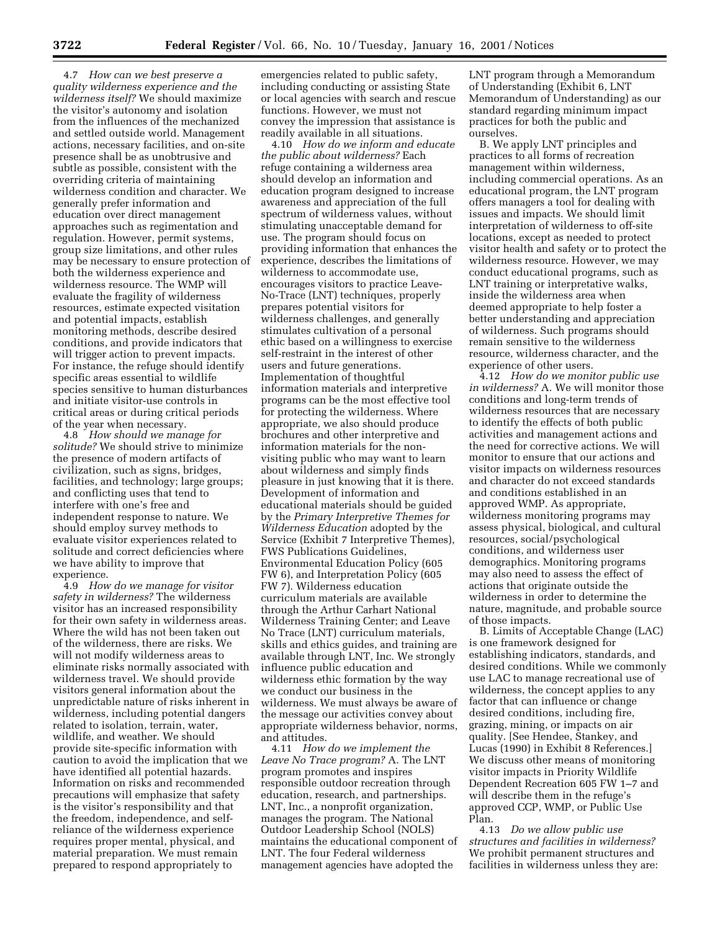4.7 *How can we best preserve a quality wilderness experience and the wilderness itself?* We should maximize the visitor's autonomy and isolation from the influences of the mechanized and settled outside world. Management actions, necessary facilities, and on-site presence shall be as unobtrusive and subtle as possible, consistent with the overriding criteria of maintaining wilderness condition and character. We generally prefer information and education over direct management approaches such as regimentation and regulation. However, permit systems, group size limitations, and other rules may be necessary to ensure protection of both the wilderness experience and wilderness resource. The WMP will evaluate the fragility of wilderness resources, estimate expected visitation and potential impacts, establish monitoring methods, describe desired conditions, and provide indicators that will trigger action to prevent impacts. For instance, the refuge should identify specific areas essential to wildlife species sensitive to human disturbances and initiate visitor-use controls in critical areas or during critical periods of the year when necessary.

4.8 *How should we manage for solitude?* We should strive to minimize the presence of modern artifacts of civilization, such as signs, bridges, facilities, and technology; large groups; and conflicting uses that tend to interfere with one's free and independent response to nature. We should employ survey methods to evaluate visitor experiences related to solitude and correct deficiencies where we have ability to improve that experience.

4.9 *How do we manage for visitor safety in wilderness?* The wilderness visitor has an increased responsibility for their own safety in wilderness areas. Where the wild has not been taken out of the wilderness, there are risks. We will not modify wilderness areas to eliminate risks normally associated with wilderness travel. We should provide visitors general information about the unpredictable nature of risks inherent in wilderness, including potential dangers related to isolation, terrain, water, wildlife, and weather. We should provide site-specific information with caution to avoid the implication that we have identified all potential hazards. Information on risks and recommended precautions will emphasize that safety is the visitor's responsibility and that the freedom, independence, and selfreliance of the wilderness experience requires proper mental, physical, and material preparation. We must remain prepared to respond appropriately to

emergencies related to public safety, including conducting or assisting State or local agencies with search and rescue functions. However, we must not convey the impression that assistance is readily available in all situations.

4.10 *How do we inform and educate the public about wilderness?* Each refuge containing a wilderness area should develop an information and education program designed to increase awareness and appreciation of the full spectrum of wilderness values, without stimulating unacceptable demand for use. The program should focus on providing information that enhances the experience, describes the limitations of wilderness to accommodate use, encourages visitors to practice Leave-No-Trace (LNT) techniques, properly prepares potential visitors for wilderness challenges, and generally stimulates cultivation of a personal ethic based on a willingness to exercise self-restraint in the interest of other users and future generations. Implementation of thoughtful information materials and interpretive programs can be the most effective tool for protecting the wilderness. Where appropriate, we also should produce brochures and other interpretive and information materials for the nonvisiting public who may want to learn about wilderness and simply finds pleasure in just knowing that it is there. Development of information and educational materials should be guided by the *Primary Interpretive Themes for Wilderness Education* adopted by the Service (Exhibit 7 Interpretive Themes), FWS Publications Guidelines, Environmental Education Policy (605 FW 6), and Interpretation Policy (605 FW 7). Wilderness education curriculum materials are available through the Arthur Carhart National Wilderness Training Center; and Leave No Trace (LNT) curriculum materials, skills and ethics guides, and training are available through LNT, Inc. We strongly influence public education and wilderness ethic formation by the way we conduct our business in the wilderness. We must always be aware of the message our activities convey about appropriate wilderness behavior, norms, and attitudes.

4.11 *How do we implement the Leave No Trace program?* A. The LNT program promotes and inspires responsible outdoor recreation through education, research, and partnerships. LNT, Inc., a nonprofit organization, manages the program. The National Outdoor Leadership School (NOLS) maintains the educational component of LNT. The four Federal wilderness management agencies have adopted the

LNT program through a Memorandum of Understanding (Exhibit 6, LNT Memorandum of Understanding) as our standard regarding minimum impact practices for both the public and ourselves.

B. We apply LNT principles and practices to all forms of recreation management within wilderness, including commercial operations. As an educational program, the LNT program offers managers a tool for dealing with issues and impacts. We should limit interpretation of wilderness to off-site locations, except as needed to protect visitor health and safety or to protect the wilderness resource. However, we may conduct educational programs, such as LNT training or interpretative walks, inside the wilderness area when deemed appropriate to help foster a better understanding and appreciation of wilderness. Such programs should remain sensitive to the wilderness resource, wilderness character, and the experience of other users.

4.12 *How do we monitor public use in wilderness?* A. We will monitor those conditions and long-term trends of wilderness resources that are necessary to identify the effects of both public activities and management actions and the need for corrective actions. We will monitor to ensure that our actions and visitor impacts on wilderness resources and character do not exceed standards and conditions established in an approved WMP. As appropriate, wilderness monitoring programs may assess physical, biological, and cultural resources, social/psychological conditions, and wilderness user demographics. Monitoring programs may also need to assess the effect of actions that originate outside the wilderness in order to determine the nature, magnitude, and probable source of those impacts.

B. Limits of Acceptable Change (LAC) is one framework designed for establishing indicators, standards, and desired conditions. While we commonly use LAC to manage recreational use of wilderness, the concept applies to any factor that can influence or change desired conditions, including fire, grazing, mining, or impacts on air quality. [See Hendee, Stankey, and Lucas (1990) in Exhibit 8 References.] We discuss other means of monitoring visitor impacts in Priority Wildlife Dependent Recreation 605 FW 1–7 and will describe them in the refuge's approved CCP, WMP, or Public Use Plan.

4.13 *Do we allow public use structures and facilities in wilderness?* We prohibit permanent structures and facilities in wilderness unless they are: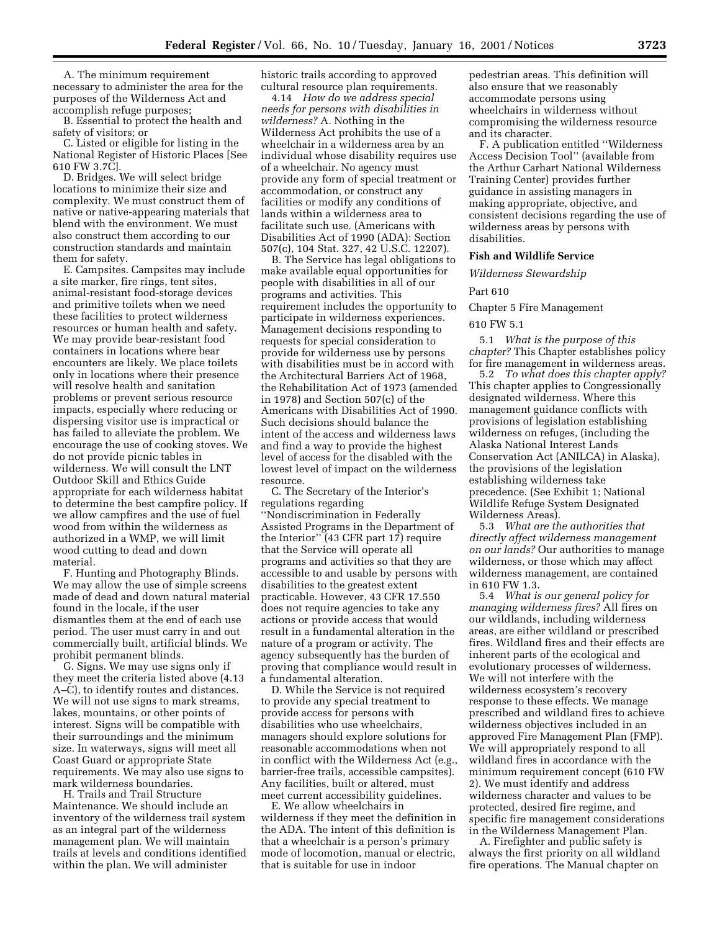A. The minimum requirement necessary to administer the area for the purposes of the Wilderness Act and accomplish refuge purposes;

B. Essential to protect the health and safety of visitors; or

C. Listed or eligible for listing in the National Register of Historic Places [See 610 FW 3.7C].

D. Bridges. We will select bridge locations to minimize their size and complexity. We must construct them of native or native-appearing materials that blend with the environment. We must also construct them according to our construction standards and maintain them for safety.

E. Campsites. Campsites may include a site marker, fire rings, tent sites, animal-resistant food-storage devices and primitive toilets when we need these facilities to protect wilderness resources or human health and safety. We may provide bear-resistant food containers in locations where bear encounters are likely. We place toilets only in locations where their presence will resolve health and sanitation problems or prevent serious resource impacts, especially where reducing or dispersing visitor use is impractical or has failed to alleviate the problem. We encourage the use of cooking stoves. We do not provide picnic tables in wilderness. We will consult the LNT Outdoor Skill and Ethics Guide appropriate for each wilderness habitat to determine the best campfire policy. If we allow campfires and the use of fuel wood from within the wilderness as authorized in a WMP, we will limit wood cutting to dead and down material.

F. Hunting and Photography Blinds. We may allow the use of simple screens made of dead and down natural material found in the locale, if the user dismantles them at the end of each use period. The user must carry in and out commercially built, artificial blinds. We prohibit permanent blinds.

G. Signs. We may use signs only if they meet the criteria listed above (4.13 A–C), to identify routes and distances. We will not use signs to mark streams, lakes, mountains, or other points of interest. Signs will be compatible with their surroundings and the minimum size. In waterways, signs will meet all Coast Guard or appropriate State requirements. We may also use signs to mark wilderness boundaries.

H. Trails and Trail Structure Maintenance. We should include an inventory of the wilderness trail system as an integral part of the wilderness management plan. We will maintain trails at levels and conditions identified within the plan. We will administer

historic trails according to approved cultural resource plan requirements.

4.14 *How do we address special needs for persons with disabilities in wilderness?* A. Nothing in the Wilderness Act prohibits the use of a wheelchair in a wilderness area by an individual whose disability requires use of a wheelchair. No agency must provide any form of special treatment or accommodation, or construct any facilities or modify any conditions of lands within a wilderness area to facilitate such use. (Americans with Disabilities Act of 1990 (ADA): Section 507(c), 104 Stat. 327, 42 U.S.C. 12207).

B. The Service has legal obligations to make available equal opportunities for people with disabilities in all of our programs and activities. This requirement includes the opportunity to participate in wilderness experiences. Management decisions responding to requests for special consideration to provide for wilderness use by persons with disabilities must be in accord with the Architectural Barriers Act of 1968, the Rehabilitation Act of 1973 (amended in 1978) and Section 507(c) of the Americans with Disabilities Act of 1990. Such decisions should balance the intent of the access and wilderness laws and find a way to provide the highest level of access for the disabled with the lowest level of impact on the wilderness resource.

C. The Secretary of the Interior's regulations regarding ''Nondiscrimination in Federally Assisted Programs in the Department of the Interior'' (43 CFR part 17) require that the Service will operate all programs and activities so that they are accessible to and usable by persons with disabilities to the greatest extent practicable. However, 43 CFR 17.550 does not require agencies to take any actions or provide access that would result in a fundamental alteration in the nature of a program or activity. The agency subsequently has the burden of proving that compliance would result in a fundamental alteration.

D. While the Service is not required to provide any special treatment to provide access for persons with disabilities who use wheelchairs, managers should explore solutions for reasonable accommodations when not in conflict with the Wilderness Act (e.g., barrier-free trails, accessible campsites). Any facilities, built or altered, must meet current accessibility guidelines.

E. We allow wheelchairs in wilderness if they meet the definition in the ADA. The intent of this definition is that a wheelchair is a person's primary mode of locomotion, manual or electric, that is suitable for use in indoor

pedestrian areas. This definition will also ensure that we reasonably accommodate persons using wheelchairs in wilderness without compromising the wilderness resource and its character.

F. A publication entitled ''Wilderness Access Decision Tool'' (available from the Arthur Carhart National Wilderness Training Center) provides further guidance in assisting managers in making appropriate, objective, and consistent decisions regarding the use of wilderness areas by persons with disabilities.

### **Fish and Wildlife Service**

*Wilderness Stewardship*

# Part 610

Chapter 5 Fire Management

### 610 FW 5.1

5.1 *What is the purpose of this chapter?* This Chapter establishes policy for fire management in wilderness areas.

5.2 *To what does this chapter apply?* This chapter applies to Congressionally designated wilderness. Where this management guidance conflicts with provisions of legislation establishing wilderness on refuges, (including the Alaska National Interest Lands Conservation Act (ANILCA) in Alaska), the provisions of the legislation establishing wilderness take precedence. (See Exhibit 1; National Wildlife Refuge System Designated Wilderness Areas).

5.3 *What are the authorities that directly affect wilderness management on our lands?* Our authorities to manage wilderness, or those which may affect wilderness management, are contained in 610 FW 1.3.

5.4 *What is our general policy for managing wilderness fires?* All fires on our wildlands, including wilderness areas, are either wildland or prescribed fires. Wildland fires and their effects are inherent parts of the ecological and evolutionary processes of wilderness. We will not interfere with the wilderness ecosystem's recovery response to these effects. We manage prescribed and wildland fires to achieve wilderness objectives included in an approved Fire Management Plan (FMP). We will appropriately respond to all wildland fires in accordance with the minimum requirement concept (610 FW 2). We must identify and address wilderness character and values to be protected, desired fire regime, and specific fire management considerations in the Wilderness Management Plan.

A. Firefighter and public safety is always the first priority on all wildland fire operations. The Manual chapter on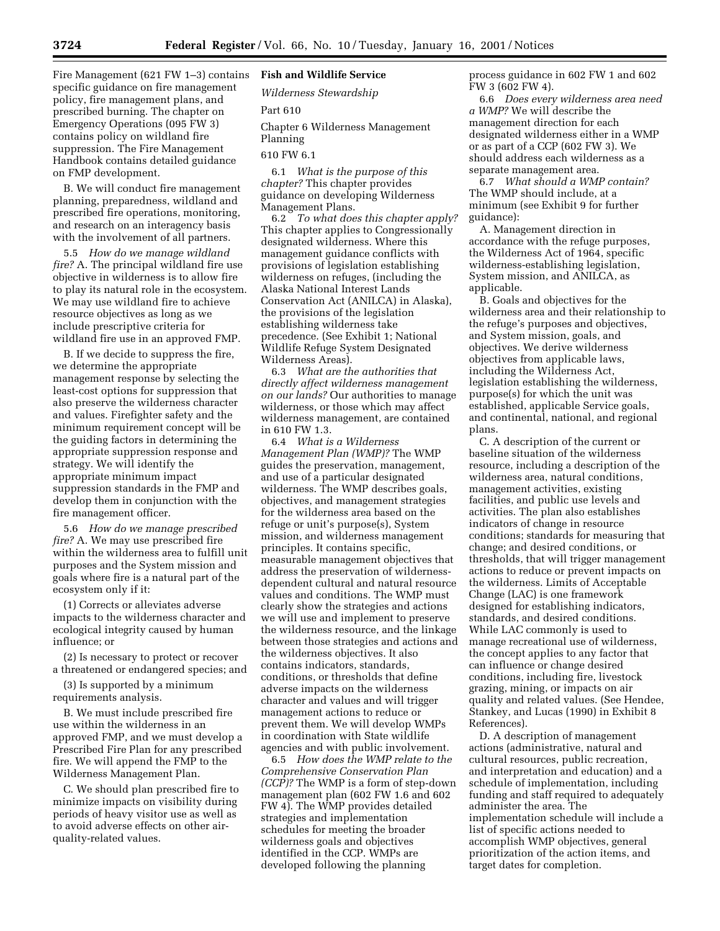Fire Management (621 FW 1–3) contains specific guidance on fire management policy, fire management plans, and prescribed burning. The chapter on Emergency Operations (095 FW 3) contains policy on wildland fire suppression. The Fire Management Handbook contains detailed guidance on FMP development.

B. We will conduct fire management planning, preparedness, wildland and prescribed fire operations, monitoring, and research on an interagency basis with the involvement of all partners.

5.5 *How do we manage wildland fire?* A. The principal wildland fire use objective in wilderness is to allow fire to play its natural role in the ecosystem. We may use wildland fire to achieve resource objectives as long as we include prescriptive criteria for wildland fire use in an approved FMP.

B. If we decide to suppress the fire, we determine the appropriate management response by selecting the least-cost options for suppression that also preserve the wilderness character and values. Firefighter safety and the minimum requirement concept will be the guiding factors in determining the appropriate suppression response and strategy. We will identify the appropriate minimum impact suppression standards in the FMP and develop them in conjunction with the fire management officer.

5.6 *How do we manage prescribed fire?* A. We may use prescribed fire within the wilderness area to fulfill unit purposes and the System mission and goals where fire is a natural part of the ecosystem only if it:

(1) Corrects or alleviates adverse impacts to the wilderness character and ecological integrity caused by human influence; or

(2) Is necessary to protect or recover a threatened or endangered species; and

(3) Is supported by a minimum requirements analysis.

B. We must include prescribed fire use within the wilderness in an approved FMP, and we must develop a Prescribed Fire Plan for any prescribed fire. We will append the FMP to the Wilderness Management Plan.

C. We should plan prescribed fire to minimize impacts on visibility during periods of heavy visitor use as well as to avoid adverse effects on other airquality-related values.

# **Fish and Wildlife Service**

*Wilderness Stewardship*

Part 610

Chapter 6 Wilderness Management Planning

# 610 FW 6.1

6.1 *What is the purpose of this chapter?* This chapter provides guidance on developing Wilderness Management Plans.

6.2 *To what does this chapter apply?* This chapter applies to Congressionally designated wilderness. Where this management guidance conflicts with provisions of legislation establishing wilderness on refuges, (including the Alaska National Interest Lands Conservation Act (ANILCA) in Alaska), the provisions of the legislation establishing wilderness take precedence. (See Exhibit 1; National Wildlife Refuge System Designated Wilderness Areas).

6.3 *What are the authorities that directly affect wilderness management on our lands?* Our authorities to manage wilderness, or those which may affect wilderness management, are contained in 610 FW 1.3.

6.4 *What is a Wilderness Management Plan (WMP)?* The WMP guides the preservation, management, and use of a particular designated wilderness. The WMP describes goals, objectives, and management strategies for the wilderness area based on the refuge or unit's purpose(s), System mission, and wilderness management principles. It contains specific, measurable management objectives that address the preservation of wildernessdependent cultural and natural resource values and conditions. The WMP must clearly show the strategies and actions we will use and implement to preserve the wilderness resource, and the linkage between those strategies and actions and the wilderness objectives. It also contains indicators, standards, conditions, or thresholds that define adverse impacts on the wilderness character and values and will trigger management actions to reduce or prevent them. We will develop WMPs in coordination with State wildlife agencies and with public involvement.

6.5 *How does the WMP relate to the Comprehensive Conservation Plan (CCP)?* The WMP is a form of step-down management plan (602 FW 1.6 and 602 FW 4). The WMP provides detailed strategies and implementation schedules for meeting the broader wilderness goals and objectives identified in the CCP. WMPs are developed following the planning

process guidance in 602 FW 1 and 602 FW 3 (602 FW 4).

6.6 *Does every wilderness area need a WMP?* We will describe the management direction for each designated wilderness either in a WMP or as part of a CCP (602 FW 3). We should address each wilderness as a separate management area.

6.7 *What should a WMP contain?* The WMP should include, at a minimum (see Exhibit 9 for further guidance):

A. Management direction in accordance with the refuge purposes, the Wilderness Act of 1964, specific wilderness-establishing legislation, System mission, and ANILCA, as applicable.

B. Goals and objectives for the wilderness area and their relationship to the refuge's purposes and objectives, and System mission, goals, and objectives. We derive wilderness objectives from applicable laws, including the Wilderness Act, legislation establishing the wilderness, purpose(s) for which the unit was established, applicable Service goals, and continental, national, and regional plans.

C. A description of the current or baseline situation of the wilderness resource, including a description of the wilderness area, natural conditions, management activities, existing facilities, and public use levels and activities. The plan also establishes indicators of change in resource conditions; standards for measuring that change; and desired conditions, or thresholds, that will trigger management actions to reduce or prevent impacts on the wilderness. Limits of Acceptable Change (LAC) is one framework designed for establishing indicators, standards, and desired conditions. While LAC commonly is used to manage recreational use of wilderness, the concept applies to any factor that can influence or change desired conditions, including fire, livestock grazing, mining, or impacts on air quality and related values. (See Hendee, Stankey, and Lucas (1990) in Exhibit 8 References).

D. A description of management actions (administrative, natural and cultural resources, public recreation, and interpretation and education) and a schedule of implementation, including funding and staff required to adequately administer the area. The implementation schedule will include a list of specific actions needed to accomplish WMP objectives, general prioritization of the action items, and target dates for completion.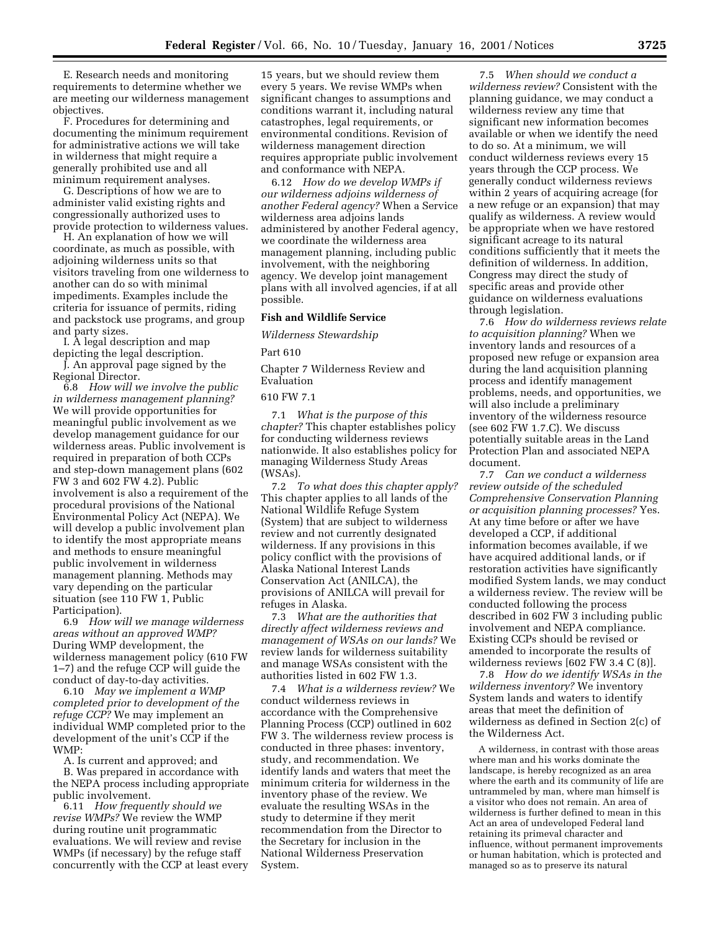E. Research needs and monitoring requirements to determine whether we are meeting our wilderness management objectives.

F. Procedures for determining and documenting the minimum requirement for administrative actions we will take in wilderness that might require a generally prohibited use and all minimum requirement analyses.

G. Descriptions of how we are to administer valid existing rights and congressionally authorized uses to provide protection to wilderness values.

H. An explanation of how we will coordinate, as much as possible, with adjoining wilderness units so that visitors traveling from one wilderness to another can do so with minimal impediments. Examples include the criteria for issuance of permits, riding and packstock use programs, and group and party sizes.

I. A legal description and map depicting the legal description.

J. An approval page signed by the Regional Director.

6.8 *How will we involve the public in wilderness management planning?* We will provide opportunities for meaningful public involvement as we develop management guidance for our wilderness areas. Public involvement is required in preparation of both CCPs and step-down management plans (602 FW 3 and 602 FW 4.2). Public involvement is also a requirement of the procedural provisions of the National Environmental Policy Act (NEPA). We will develop a public involvement plan to identify the most appropriate means and methods to ensure meaningful public involvement in wilderness management planning. Methods may vary depending on the particular situation (see 110 FW 1, Public Participation).

6.9 *How will we manage wilderness areas without an approved WMP?* During WMP development, the wilderness management policy (610 FW 1–7) and the refuge CCP will guide the conduct of day-to-day activities.

6.10 *May we implement a WMP completed prior to development of the refuge CCP?* We may implement an individual WMP completed prior to the development of the unit's CCP if the WMP:

A. Is current and approved; and B. Was prepared in accordance with the NEPA process including appropriate public involvement.

6.11 *How frequently should we revise WMPs?* We review the WMP during routine unit programmatic evaluations. We will review and revise WMPs (if necessary) by the refuge staff concurrently with the CCP at least every

15 years, but we should review them every 5 years. We revise WMPs when significant changes to assumptions and conditions warrant it, including natural catastrophes, legal requirements, or environmental conditions. Revision of wilderness management direction requires appropriate public involvement and conformance with NEPA.

6.12 *How do we develop WMPs if our wilderness adjoins wilderness of another Federal agency?* When a Service wilderness area adjoins lands administered by another Federal agency, we coordinate the wilderness area management planning, including public involvement, with the neighboring agency. We develop joint management plans with all involved agencies, if at all possible.

# **Fish and Wildlife Service**

*Wilderness Stewardship*

Part 610

Chapter 7 Wilderness Review and Evaluation

### 610 FW 7.1

7.1 *What is the purpose of this chapter?* This chapter establishes policy for conducting wilderness reviews nationwide. It also establishes policy for managing Wilderness Study Areas (WSAs).

7.2 *To what does this chapter apply?* This chapter applies to all lands of the National Wildlife Refuge System (System) that are subject to wilderness review and not currently designated wilderness. If any provisions in this policy conflict with the provisions of Alaska National Interest Lands Conservation Act (ANILCA), the provisions of ANILCA will prevail for refuges in Alaska.

7.3 *What are the authorities that directly affect wilderness reviews and management of WSAs on our lands?* We review lands for wilderness suitability and manage WSAs consistent with the authorities listed in 602 FW 1.3.

7.4 *What is a wilderness review?* We conduct wilderness reviews in accordance with the Comprehensive Planning Process (CCP) outlined in 602 FW 3. The wilderness review process is conducted in three phases: inventory, study, and recommendation. We identify lands and waters that meet the minimum criteria for wilderness in the inventory phase of the review. We evaluate the resulting WSAs in the study to determine if they merit recommendation from the Director to the Secretary for inclusion in the National Wilderness Preservation System.

7.5 *When should we conduct a wilderness review?* Consistent with the planning guidance, we may conduct a wilderness review any time that significant new information becomes available or when we identify the need to do so. At a minimum, we will conduct wilderness reviews every 15 years through the CCP process. We generally conduct wilderness reviews within 2 years of acquiring acreage (for a new refuge or an expansion) that may qualify as wilderness. A review would be appropriate when we have restored significant acreage to its natural conditions sufficiently that it meets the definition of wilderness. In addition, Congress may direct the study of specific areas and provide other guidance on wilderness evaluations through legislation.

7.6 *How do wilderness reviews relate to acquisition planning?* When we inventory lands and resources of a proposed new refuge or expansion area during the land acquisition planning process and identify management problems, needs, and opportunities, we will also include a preliminary inventory of the wilderness resource (see 602 FW 1.7.C). We discuss potentially suitable areas in the Land Protection Plan and associated NEPA document.

7.7 *Can we conduct a wilderness review outside of the scheduled Comprehensive Conservation Planning or acquisition planning processes?* Yes. At any time before or after we have developed a CCP, if additional information becomes available, if we have acquired additional lands, or if restoration activities have significantly modified System lands, we may conduct a wilderness review. The review will be conducted following the process described in 602 FW 3 including public involvement and NEPA compliance. Existing CCPs should be revised or amended to incorporate the results of wilderness reviews [602 FW 3.4 C (8)].

7.8 *How do we identify WSAs in the wilderness inventory?* We inventory System lands and waters to identify areas that meet the definition of wilderness as defined in Section 2(c) of the Wilderness Act.

A wilderness, in contrast with those areas where man and his works dominate the landscape, is hereby recognized as an area where the earth and its community of life are untrammeled by man, where man himself is a visitor who does not remain. An area of wilderness is further defined to mean in this Act an area of undeveloped Federal land retaining its primeval character and influence, without permanent improvements or human habitation, which is protected and managed so as to preserve its natural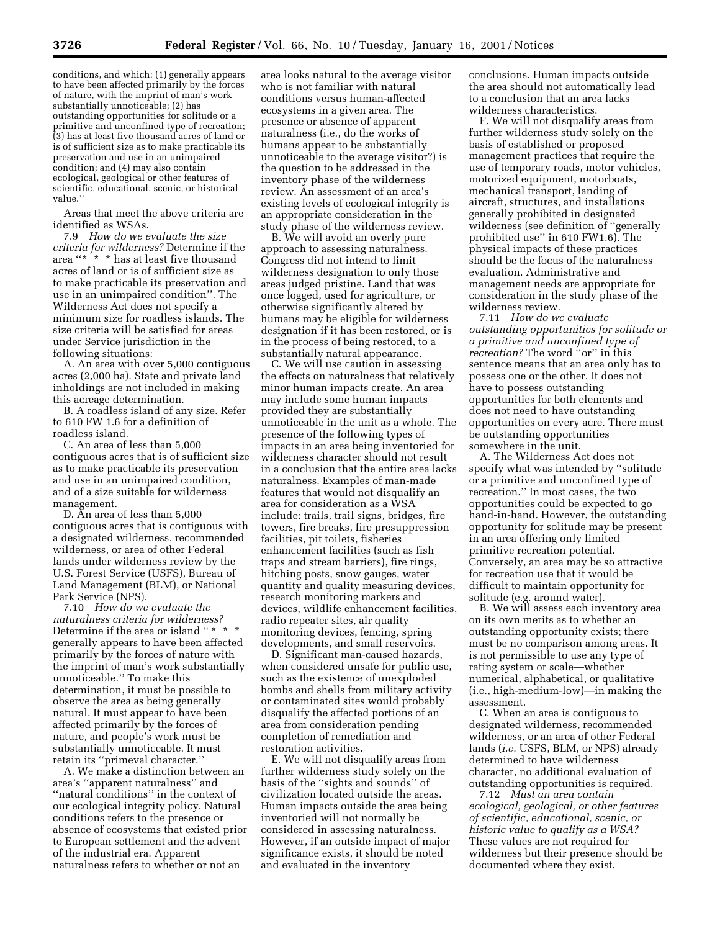conditions, and which: (1) generally appears to have been affected primarily by the forces of nature, with the imprint of man's work substantially unnoticeable; (2) has outstanding opportunities for solitude or a primitive and unconfined type of recreation; (3) has at least five thousand acres of land or is of sufficient size as to make practicable its preservation and use in an unimpaired condition; and (4) may also contain ecological, geological or other features of scientific, educational, scenic, or historical value.''

Areas that meet the above criteria are identified as WSAs.

7.9 *How do we evaluate the size criteria for wilderness?* Determine if the area ''\* \* \* has at least five thousand acres of land or is of sufficient size as to make practicable its preservation and use in an unimpaired condition''. The Wilderness Act does not specify a minimum size for roadless islands. The size criteria will be satisfied for areas under Service jurisdiction in the following situations:

A. An area with over 5,000 contiguous acres (2,000 ha). State and private land inholdings are not included in making this acreage determination.

B. A roadless island of any size. Refer to 610 FW 1.6 for a definition of roadless island.

C. An area of less than 5,000 contiguous acres that is of sufficient size as to make practicable its preservation and use in an unimpaired condition, and of a size suitable for wilderness management.

D. An area of less than 5,000 contiguous acres that is contiguous with a designated wilderness, recommended wilderness, or area of other Federal lands under wilderness review by the U.S. Forest Service (USFS), Bureau of Land Management (BLM), or National Park Service (NPS).

7.10 *How do we evaluate the naturalness criteria for wilderness?* Determine if the area or island ''  $\star$   $\star$ generally appears to have been affected primarily by the forces of nature with the imprint of man's work substantially unnoticeable.'' To make this determination, it must be possible to observe the area as being generally natural. It must appear to have been affected primarily by the forces of nature, and people's work must be substantially unnoticeable. It must retain its ''primeval character.''

A. We make a distinction between an area's ''apparent naturalness'' and ''natural conditions'' in the context of our ecological integrity policy. Natural conditions refers to the presence or absence of ecosystems that existed prior to European settlement and the advent of the industrial era. Apparent naturalness refers to whether or not an

area looks natural to the average visitor who is not familiar with natural conditions versus human-affected ecosystems in a given area. The presence or absence of apparent naturalness (i.e., do the works of humans appear to be substantially unnoticeable to the average visitor?) is the question to be addressed in the inventory phase of the wilderness review. An assessment of an area's existing levels of ecological integrity is an appropriate consideration in the study phase of the wilderness review.

B. We will avoid an overly pure approach to assessing naturalness. Congress did not intend to limit wilderness designation to only those areas judged pristine. Land that was once logged, used for agriculture, or otherwise significantly altered by humans may be eligible for wilderness designation if it has been restored, or is in the process of being restored, to a substantially natural appearance.

C. We will use caution in assessing the effects on naturalness that relatively minor human impacts create. An area may include some human impacts provided they are substantially unnoticeable in the unit as a whole. The presence of the following types of impacts in an area being inventoried for wilderness character should not result in a conclusion that the entire area lacks naturalness. Examples of man-made features that would not disqualify an area for consideration as a WSA include: trails, trail signs, bridges, fire towers, fire breaks, fire presuppression facilities, pit toilets, fisheries enhancement facilities (such as fish traps and stream barriers), fire rings, hitching posts, snow gauges, water quantity and quality measuring devices, research monitoring markers and devices, wildlife enhancement facilities, radio repeater sites, air quality monitoring devices, fencing, spring developments, and small reservoirs.

D. Significant man-caused hazards, when considered unsafe for public use, such as the existence of unexploded bombs and shells from military activity or contaminated sites would probably disqualify the affected portions of an area from consideration pending completion of remediation and restoration activities.

E. We will not disqualify areas from further wilderness study solely on the basis of the ''sights and sounds'' of civilization located outside the areas. Human impacts outside the area being inventoried will not normally be considered in assessing naturalness. However, if an outside impact of major significance exists, it should be noted and evaluated in the inventory

conclusions. Human impacts outside the area should not automatically lead to a conclusion that an area lacks wilderness characteristics.

F. We will not disqualify areas from further wilderness study solely on the basis of established or proposed management practices that require the use of temporary roads, motor vehicles, motorized equipment, motorboats, mechanical transport, landing of aircraft, structures, and installations generally prohibited in designated wilderness (see definition of ''generally prohibited use'' in 610 FW1.6). The physical impacts of these practices should be the focus of the naturalness evaluation. Administrative and management needs are appropriate for consideration in the study phase of the wilderness review.

7.11 *How do we evaluate outstanding opportunities for solitude or a primitive and unconfined type of recreation?* The word "or" in this sentence means that an area only has to possess one or the other. It does not have to possess outstanding opportunities for both elements and does not need to have outstanding opportunities on every acre. There must be outstanding opportunities somewhere in the unit.

A. The Wilderness Act does not specify what was intended by ''solitude or a primitive and unconfined type of recreation.'' In most cases, the two opportunities could be expected to go hand-in-hand. However, the outstanding opportunity for solitude may be present in an area offering only limited primitive recreation potential. Conversely, an area may be so attractive for recreation use that it would be difficult to maintain opportunity for solitude (e.g. around water).

B. We will assess each inventory area on its own merits as to whether an outstanding opportunity exists; there must be no comparison among areas. It is not permissible to use any type of rating system or scale—whether numerical, alphabetical, or qualitative (i.e., high-medium-low)—in making the assessment.

C. When an area is contiguous to designated wilderness, recommended wilderness, or an area of other Federal lands (*i.e.* USFS, BLM, or NPS) already determined to have wilderness character, no additional evaluation of outstanding opportunities is required.

7.12 *Must an area contain ecological, geological, or other features of scientific, educational, scenic, or historic value to qualify as a WSA?* These values are not required for wilderness but their presence should be documented where they exist.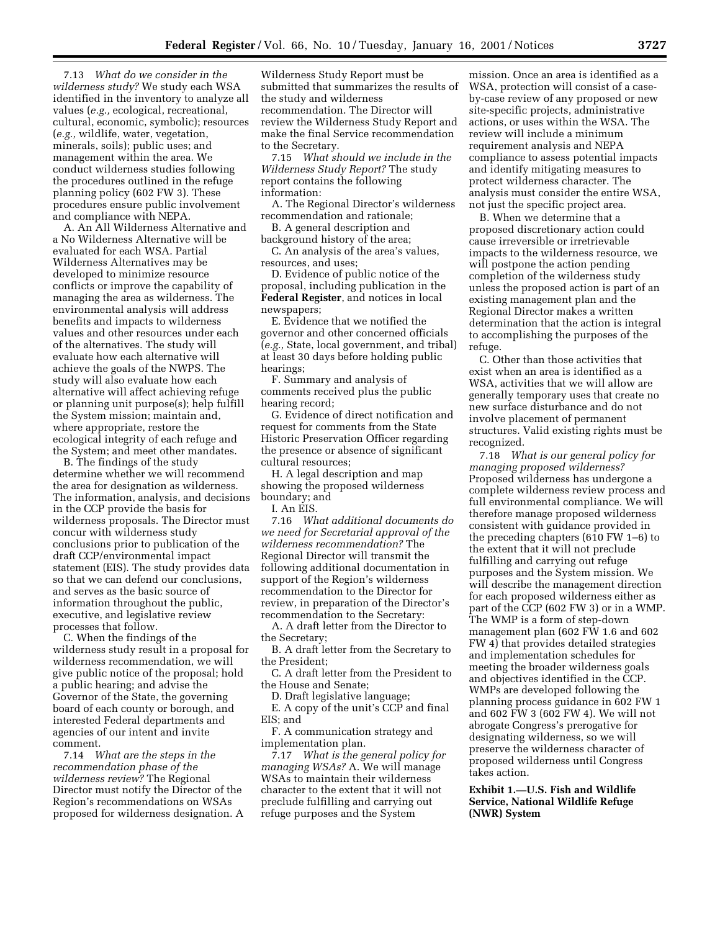7.13 *What do we consider in the wilderness study?* We study each WSA identified in the inventory to analyze all values (*e.g.,* ecological, recreational, cultural, economic, symbolic); resources (*e.g.,* wildlife, water, vegetation, minerals, soils); public uses; and management within the area. We conduct wilderness studies following the procedures outlined in the refuge planning policy (602 FW 3). These procedures ensure public involvement and compliance with NEPA.

A. An All Wilderness Alternative and a No Wilderness Alternative will be evaluated for each WSA. Partial Wilderness Alternatives may be developed to minimize resource conflicts or improve the capability of managing the area as wilderness. The environmental analysis will address benefits and impacts to wilderness values and other resources under each of the alternatives. The study will evaluate how each alternative will achieve the goals of the NWPS. The study will also evaluate how each alternative will affect achieving refuge or planning unit purpose(s); help fulfill the System mission; maintain and, where appropriate, restore the ecological integrity of each refuge and the System; and meet other mandates.

B. The findings of the study determine whether we will recommend the area for designation as wilderness. The information, analysis, and decisions in the CCP provide the basis for wilderness proposals. The Director must concur with wilderness study conclusions prior to publication of the draft CCP/environmental impact statement (EIS). The study provides data so that we can defend our conclusions, and serves as the basic source of information throughout the public, executive, and legislative review processes that follow.

C. When the findings of the wilderness study result in a proposal for wilderness recommendation, we will give public notice of the proposal; hold a public hearing; and advise the Governor of the State, the governing board of each county or borough, and interested Federal departments and agencies of our intent and invite comment.

7.14 *What are the steps in the recommendation phase of the wilderness review?* The Regional Director must notify the Director of the Region's recommendations on WSAs proposed for wilderness designation. A

Wilderness Study Report must be submitted that summarizes the results of the study and wilderness recommendation. The Director will review the Wilderness Study Report and make the final Service recommendation to the Secretary.

7.15 *What should we include in the Wilderness Study Report?* The study report contains the following information:

A. The Regional Director's wilderness recommendation and rationale;

B. A general description and background history of the area;

C. An analysis of the area's values, resources, and uses;

D. Evidence of public notice of the proposal, including publication in the **Federal Register**, and notices in local newspapers;

E. Evidence that we notified the governor and other concerned officials (*e.g.,* State, local government, and tribal) at least 30 days before holding public hearings;

F. Summary and analysis of comments received plus the public hearing record;

G. Evidence of direct notification and request for comments from the State Historic Preservation Officer regarding the presence or absence of significant cultural resources;

H. A legal description and map showing the proposed wilderness boundary; and

I. An EIS.

7.16 *What additional documents do we need for Secretarial approval of the wilderness recommendation?* The Regional Director will transmit the following additional documentation in support of the Region's wilderness recommendation to the Director for review, in preparation of the Director's recommendation to the Secretary:

A. A draft letter from the Director to the Secretary;

B. A draft letter from the Secretary to the President;

C. A draft letter from the President to the House and Senate;

D. Draft legislative language;

E. A copy of the unit's CCP and final EIS; and

F. A communication strategy and implementation plan.

7.17 *What is the general policy for managing WSAs?* A. We will manage WSAs to maintain their wilderness character to the extent that it will not preclude fulfilling and carrying out refuge purposes and the System

mission. Once an area is identified as a WSA, protection will consist of a caseby-case review of any proposed or new site-specific projects, administrative actions, or uses within the WSA. The review will include a minimum requirement analysis and NEPA compliance to assess potential impacts and identify mitigating measures to protect wilderness character. The analysis must consider the entire WSA, not just the specific project area.

B. When we determine that a proposed discretionary action could cause irreversible or irretrievable impacts to the wilderness resource, we will postpone the action pending completion of the wilderness study unless the proposed action is part of an existing management plan and the Regional Director makes a written determination that the action is integral to accomplishing the purposes of the refuge.

C. Other than those activities that exist when an area is identified as a WSA, activities that we will allow are generally temporary uses that create no new surface disturbance and do not involve placement of permanent structures. Valid existing rights must be recognized.

7.18 *What is our general policy for managing proposed wilderness?* Proposed wilderness has undergone a complete wilderness review process and full environmental compliance. We will therefore manage proposed wilderness consistent with guidance provided in the preceding chapters (610 FW 1–6) to the extent that it will not preclude fulfilling and carrying out refuge purposes and the System mission. We will describe the management direction for each proposed wilderness either as part of the CCP (602 FW 3) or in a WMP. The WMP is a form of step-down management plan (602 FW 1.6 and 602 FW 4) that provides detailed strategies and implementation schedules for meeting the broader wilderness goals and objectives identified in the CCP. WMPs are developed following the planning process guidance in 602 FW 1 and 602 FW 3 (602 FW 4). We will not abrogate Congress's prerogative for designating wilderness, so we will preserve the wilderness character of proposed wilderness until Congress takes action.

**Exhibit 1.—U.S. Fish and Wildlife Service, National Wildlife Refuge (NWR) System**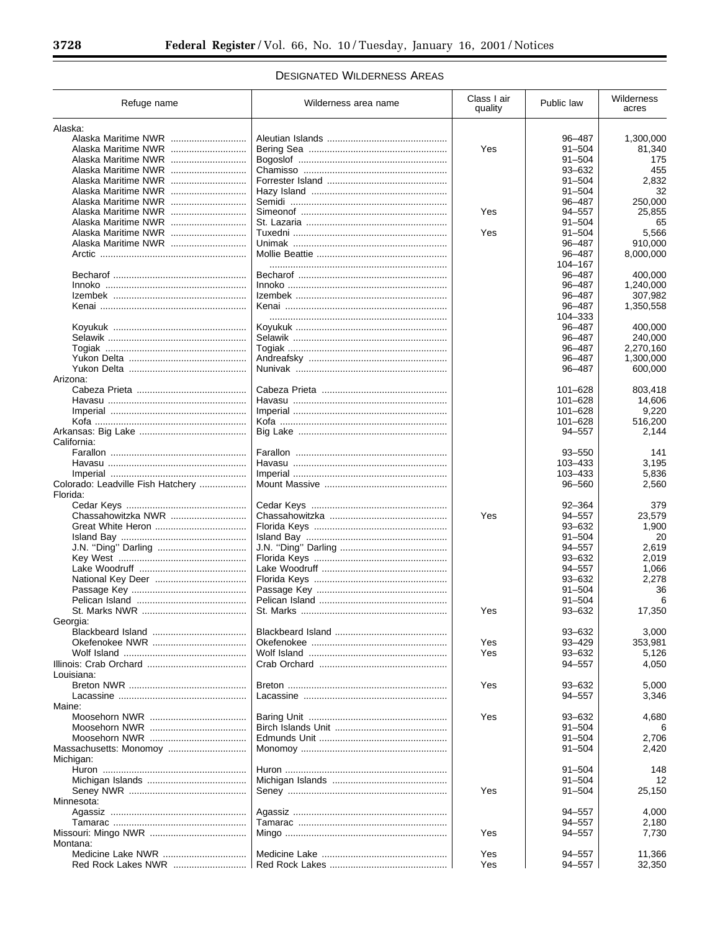$\equiv$ 

 $\equiv$ 

# **DESIGNATED WILDERNESS AREAS**

| Refuge name                       | Wilderness area name | Class I air<br>quality | Public law           | Wilderness<br>acres |
|-----------------------------------|----------------------|------------------------|----------------------|---------------------|
| Alaska:                           |                      |                        |                      |                     |
| Alaska Maritime NWR               |                      |                        | 96-487               | 1,300,000           |
| Alaska Maritime NWR               |                      | Yes                    | $91 - 504$           | 81,340              |
|                                   |                      |                        | $91 - 504$           | 175                 |
| Alaska Maritime NWR               |                      |                        | $93 - 632$           | 455                 |
|                                   |                      |                        | $91 - 504$           | 2,832               |
|                                   |                      |                        | $91 - 504$           | 32                  |
|                                   |                      |                        | 96-487               | 250,000             |
| Alaska Maritime NWR               |                      | Yes                    | 94-557               | 25,855              |
| Alaska Maritime NWR               |                      |                        | $91 - 504$           | 65                  |
| Alaska Maritime NWR               |                      | Yes                    | $91 - 504$           | 5,566               |
| Alaska Maritime NWR               |                      |                        | 96-487               | 910,000             |
|                                   |                      |                        | 96-487               | 8,000,000           |
|                                   |                      |                        | 104-167              |                     |
|                                   |                      |                        | 96-487               | 400,000             |
|                                   |                      |                        | 96-487               | 1,240,000           |
|                                   |                      |                        | 96-487               | 307,982             |
|                                   |                      |                        | 96-487               | 1,350,558           |
|                                   |                      |                        | 104-333              |                     |
|                                   |                      |                        | 96-487               | 400,000             |
|                                   |                      |                        | 96-487               | 240,000             |
|                                   |                      |                        | 96-487               | 2,270,160           |
|                                   |                      |                        | 96-487               | 1,300,000           |
|                                   |                      |                        | 96-487               | 600,000             |
| Arizona:                          |                      |                        |                      |                     |
|                                   |                      |                        | $101 - 628$          | 803,418             |
|                                   |                      |                        | $101 - 628$          | 14,606              |
|                                   |                      |                        | 101-628              | 9,220               |
|                                   |                      |                        | 101-628              | 516,200             |
|                                   |                      |                        | 94-557               | 2,144               |
| California:                       |                      |                        |                      |                     |
|                                   |                      |                        | 93-550               | 141                 |
|                                   |                      |                        | 103-433              | 3,195               |
|                                   |                      |                        | 103-433              | 5,836               |
| Colorado: Leadville Fish Hatchery |                      |                        | 96-560               | 2,560               |
| Florida:                          |                      |                        |                      |                     |
|                                   |                      |                        | $92 - 364$           | 379                 |
| Chassahowitzka NWR                |                      | Yes                    | 94-557               | 23,579              |
|                                   |                      |                        | $93 - 632$           | 1,900               |
|                                   |                      |                        | $91 - 504$           | 20                  |
|                                   |                      |                        | 94-557               | 2,619               |
|                                   |                      |                        | $93 - 632$<br>94-557 | 2,019               |
|                                   |                      |                        | $93 - 632$           | 1,066               |
|                                   |                      |                        | $91 - 504$           | 2,278<br>36         |
|                                   |                      |                        | $91 - 504$           | 6                   |
|                                   |                      | Yes                    |                      |                     |
| Georgia:                          |                      |                        | 93-632               | 17,350              |
|                                   |                      |                        | $93 - 632$           | 3,000               |
|                                   |                      | Yes                    | 93-429               | 353,981             |
|                                   |                      | Yes                    | $93 - 632$           | 5,126               |
|                                   |                      |                        | 94-557               | 4,050               |
| Louisiana:                        |                      |                        |                      |                     |
|                                   |                      | Yes                    | $93 - 632$           | 5,000               |
|                                   |                      |                        | 94-557               | 3,346               |
| Maine:                            |                      |                        |                      |                     |
|                                   |                      | Yes                    | $93 - 632$           | 4,680               |
|                                   |                      |                        | $91 - 504$           | 6                   |
|                                   |                      |                        | $91 - 504$           | 2.706               |
|                                   |                      |                        | $91 - 504$           | 2,420               |
| Michigan:                         |                      |                        |                      |                     |
|                                   |                      |                        | $91 - 504$           | 148                 |
|                                   |                      |                        | $91 - 504$           | 12                  |
|                                   |                      | Yes                    | $91 - 504$           | 25,150              |
| Minnesota:                        |                      |                        |                      |                     |
|                                   |                      |                        | 94-557               | 4,000               |
|                                   |                      |                        | 94-557               | 2,180               |
|                                   |                      | Yes                    | 94-557               | 7,730               |
| Montana:                          |                      |                        |                      |                     |
|                                   |                      | Yes                    | 94-557               | 11,366              |
|                                   |                      | Yes                    | 94-557               | 32,350              |
|                                   |                      |                        |                      |                     |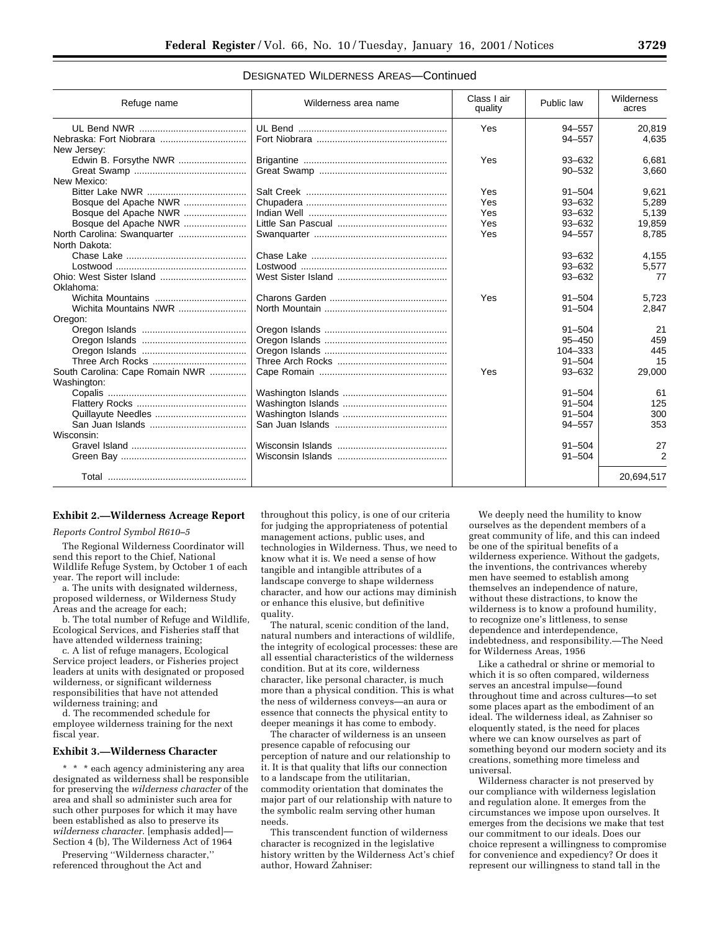| Refuge name                     | Wilderness area name | Class I air<br>quality | Public law | Wilderness<br>acres |
|---------------------------------|----------------------|------------------------|------------|---------------------|
|                                 |                      | Yes                    | $94 - 557$ | 20,819              |
|                                 |                      |                        | $94 - 557$ | 4,635               |
| New Jersey:                     |                      |                        |            |                     |
| Edwin B. Forsythe NWR           |                      | Yes                    | $93 - 632$ | 6.681               |
|                                 |                      |                        | $90 - 532$ | 3,660               |
| New Mexico:                     |                      |                        |            |                     |
|                                 |                      | Yes                    | $91 - 504$ | 9,621               |
| Bosque del Apache NWR           |                      | Yes                    | $93 - 632$ | 5,289               |
| Bosque del Apache NWR           |                      | Yes                    | $93 - 632$ | 5,139               |
| Bosque del Apache NWR           |                      | Yes                    | $93 - 632$ | 19,859              |
|                                 |                      | Yes                    | $94 - 557$ | 8,785               |
| North Dakota:                   |                      |                        |            |                     |
|                                 |                      |                        | $93 - 632$ | 4.155               |
|                                 |                      |                        | $93 - 632$ | 5,577               |
| Ohio: West Sister Island        |                      |                        | $93 - 632$ | 77                  |
| Oklahoma:                       |                      |                        |            |                     |
|                                 |                      | Yes                    | $91 - 504$ | 5,723               |
|                                 |                      |                        | $91 - 504$ | 2,847               |
| Oregon:                         |                      |                        |            |                     |
|                                 |                      |                        | $91 - 504$ | 21                  |
|                                 |                      |                        | $95 - 450$ | 459                 |
|                                 |                      |                        | 104-333    | 445                 |
|                                 |                      |                        | $91 - 504$ | 15                  |
| South Carolina: Cape Romain NWR |                      | Yes                    | $93 - 632$ | 29,000              |
| Washington:                     |                      |                        |            |                     |
|                                 |                      |                        | $91 - 504$ | 61                  |
|                                 |                      |                        | $91 - 504$ | 125                 |
|                                 |                      |                        | $91 - 504$ | 300                 |
|                                 |                      |                        | $94 - 557$ | 353                 |
| Wisconsin:                      |                      |                        |            |                     |
|                                 |                      |                        | $91 - 504$ | 27                  |
|                                 |                      |                        | $91 - 504$ | 2                   |
|                                 |                      |                        |            | 20,694,517          |
|                                 |                      |                        |            |                     |

# DESIGNATED WILDERNESS AREAS—Continued

# **Exhibit 2.—Wilderness Acreage Report**

#### *Reports Control Symbol R610–5*

The Regional Wilderness Coordinator will send this report to the Chief, National Wildlife Refuge System, by October 1 of each year. The report will include:

a. The units with designated wilderness, proposed wilderness, or Wilderness Study Areas and the acreage for each;

b. The total number of Refuge and Wildlife, Ecological Services, and Fisheries staff that have attended wilderness training;

c. A list of refuge managers, Ecological Service project leaders, or Fisheries project leaders at units with designated or proposed wilderness, or significant wilderness responsibilities that have not attended wilderness training; and

d. The recommended schedule for employee wilderness training for the next fiscal year.

### **Exhibit 3.—Wilderness Character**

\* \* \* each agency administering any area designated as wilderness shall be responsible for preserving the *wilderness character* of the area and shall so administer such area for such other purposes for which it may have been established as also to preserve its *wilderness character.* [emphasis added]— Section 4 (b), The Wilderness Act of 1964

Preserving ''Wilderness character,'' referenced throughout the Act and

throughout this policy, is one of our criteria for judging the appropriateness of potential management actions, public uses, and technologies in Wilderness. Thus, we need to know what it is. We need a sense of how tangible and intangible attributes of a landscape converge to shape wilderness character, and how our actions may diminish or enhance this elusive, but definitive quality.

The natural, scenic condition of the land, natural numbers and interactions of wildlife, the integrity of ecological processes: these are all essential characteristics of the wilderness condition. But at its core, wilderness character, like personal character, is much more than a physical condition. This is what the ness of wilderness conveys—an aura or essence that connects the physical entity to deeper meanings it has come to embody.

The character of wilderness is an unseen presence capable of refocusing our perception of nature and our relationship to it. It is that quality that lifts our connection to a landscape from the utilitarian, commodity orientation that dominates the major part of our relationship with nature to the symbolic realm serving other human needs.

This transcendent function of wilderness character is recognized in the legislative history written by the Wilderness Act's chief author, Howard Zahniser:

We deeply need the humility to know ourselves as the dependent members of a great community of life, and this can indeed be one of the spiritual benefits of a wilderness experience. Without the gadgets, the inventions, the contrivances whereby men have seemed to establish among themselves an independence of nature, without these distractions, to know the wilderness is to know a profound humility, to recognize one's littleness, to sense dependence and interdependence, indebtedness, and responsibility.—The Need for Wilderness Areas, 1956

Like a cathedral or shrine or memorial to which it is so often compared, wilderness serves an ancestral impulse—found throughout time and across cultures—to set some places apart as the embodiment of an ideal. The wilderness ideal, as Zahniser so eloquently stated, is the need for places where we can know ourselves as part of something beyond our modern society and its creations, something more timeless and universal.

Wilderness character is not preserved by our compliance with wilderness legislation and regulation alone. It emerges from the circumstances we impose upon ourselves. It emerges from the decisions we make that test our commitment to our ideals. Does our choice represent a willingness to compromise for convenience and expediency? Or does it represent our willingness to stand tall in the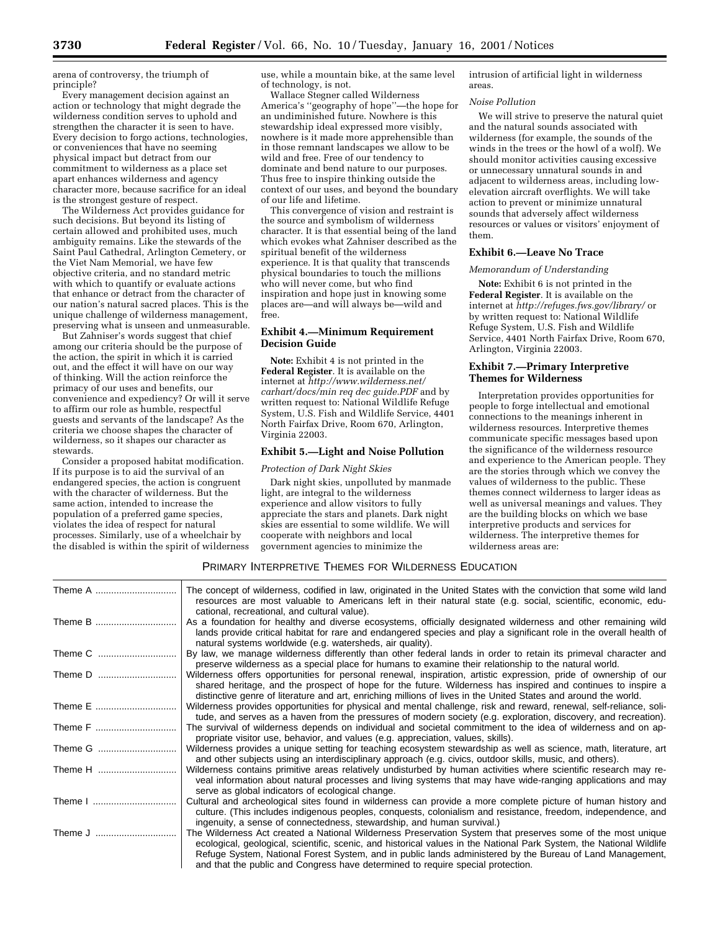arena of controversy, the triumph of principle?

Every management decision against an action or technology that might degrade the wilderness condition serves to uphold and strengthen the character it is seen to have. Every decision to forgo actions, technologies, or conveniences that have no seeming physical impact but detract from our commitment to wilderness as a place set apart enhances wilderness and agency character more, because sacrifice for an ideal is the strongest gesture of respect.

The Wilderness Act provides guidance for such decisions. But beyond its listing of certain allowed and prohibited uses, much ambiguity remains. Like the stewards of the Saint Paul Cathedral, Arlington Cemetery, or the Viet Nam Memorial, we have few objective criteria, and no standard metric with which to quantify or evaluate actions that enhance or detract from the character of our nation's natural sacred places. This is the unique challenge of wilderness management, preserving what is unseen and unmeasurable.

But Zahniser's words suggest that chief among our criteria should be the purpose of the action, the spirit in which it is carried out, and the effect it will have on our way of thinking. Will the action reinforce the primacy of our uses and benefits, our convenience and expediency? Or will it serve to affirm our role as humble, respectful guests and servants of the landscape? As the criteria we choose shapes the character of wilderness, so it shapes our character as stewards.

Consider a proposed habitat modification. If its purpose is to aid the survival of an endangered species, the action is congruent with the character of wilderness. But the same action, intended to increase the population of a preferred game species, violates the idea of respect for natural processes. Similarly, use of a wheelchair by the disabled is within the spirit of wilderness use, while a mountain bike, at the same level of technology, is not.

Wallace Stegner called Wilderness America's ''geography of hope''—the hope for an undiminished future. Nowhere is this stewardship ideal expressed more visibly, nowhere is it made more apprehensible than in those remnant landscapes we allow to be wild and free. Free of our tendency to dominate and bend nature to our purposes. Thus free to inspire thinking outside the context of our uses, and beyond the boundary of our life and lifetime.

This convergence of vision and restraint is the source and symbolism of wilderness character. It is that essential being of the land which evokes what Zahniser described as the spiritual benefit of the wilderness experience. It is that quality that transcends physical boundaries to touch the millions who will never come, but who find inspiration and hope just in knowing some places are—and will always be—wild and free.

# **Exhibit 4.—Minimum Requirement Decision Guide**

**Note:** Exhibit 4 is not printed in the **Federal Register**. It is available on the internet at *http://www.wilderness.net/ carhart/docs/min req dec guide.PDF* and by written request to: National Wildlife Refuge System, U.S. Fish and Wildlife Service, 4401 North Fairfax Drive, Room 670, Arlington, Virginia 22003.

# **Exhibit 5.—Light and Noise Pollution**

### *Protection of Dark Night Skies*

Dark night skies, unpolluted by manmade light, are integral to the wilderness experience and allow visitors to fully appreciate the stars and planets. Dark night skies are essential to some wildlife. We will cooperate with neighbors and local government agencies to minimize the

intrusion of artificial light in wilderness areas.

### *Noise Pollution*

We will strive to preserve the natural quiet and the natural sounds associated with wilderness (for example, the sounds of the winds in the trees or the howl of a wolf). We should monitor activities causing excessive or unnecessary unnatural sounds in and adjacent to wilderness areas, including lowelevation aircraft overflights. We will take action to prevent or minimize unnatural sounds that adversely affect wilderness resources or values or visitors' enjoyment of them.

### **Exhibit 6.—Leave No Trace**

# *Memorandum of Understanding*

**Note:** Exhibit 6 is not printed in the **Federal Register**. It is available on the internet at *http://refuges.fws.gov/library/* or by written request to: National Wildlife Refuge System, U.S. Fish and Wildlife Service, 4401 North Fairfax Drive, Room 670, Arlington, Virginia 22003.

# **Exhibit 7.—Primary Interpretive Themes for Wilderness**

Interpretation provides opportunities for people to forge intellectual and emotional connections to the meanings inherent in wilderness resources. Interpretive themes communicate specific messages based upon the significance of the wilderness resource and experience to the American people. They are the stories through which we convey the values of wilderness to the public. These themes connect wilderness to larger ideas as well as universal meanings and values. They are the building blocks on which we base interpretive products and services for wilderness. The interpretive themes for wilderness areas are:

# PRIMARY INTERPRETIVE THEMES FOR WILDERNESS EDUCATION

| Theme A | The concept of wilderness, codified in law, originated in the United States with the conviction that some wild land<br>resources are most valuable to Americans left in their natural state (e.g. social, scientific, economic, edu-                                                                                                                                                                                                |
|---------|-------------------------------------------------------------------------------------------------------------------------------------------------------------------------------------------------------------------------------------------------------------------------------------------------------------------------------------------------------------------------------------------------------------------------------------|
| Theme B | cational, recreational, and cultural value).<br>As a foundation for healthy and diverse ecosystems, officially designated wilderness and other remaining wild<br>lands provide critical habitat for rare and endangered species and play a significant role in the overall health of<br>natural systems worldwide (e.g. watersheds, air quality).                                                                                   |
| Theme C | By law, we manage wilderness differently than other federal lands in order to retain its primeval character and<br>preserve wilderness as a special place for humans to examine their relationship to the natural world.                                                                                                                                                                                                            |
| Theme D | Wilderness offers opportunities for personal renewal, inspiration, artistic expression, pride of ownership of our<br>shared heritage, and the prospect of hope for the future. Wilderness has inspired and continues to inspire a<br>distinctive genre of literature and art, enriching millions of lives in the United States and around the world.                                                                                |
| Theme E | Wilderness provides opportunities for physical and mental challenge, risk and reward, renewal, self-reliance, soli-<br>tude, and serves as a haven from the pressures of modern society (e.g. exploration, discovery, and recreation).                                                                                                                                                                                              |
| Theme F | The survival of wilderness depends on individual and societal commitment to the idea of wilderness and on ap-<br>propriate visitor use, behavior, and values (e.g. appreciation, values, skills).                                                                                                                                                                                                                                   |
| Theme G | Wilderness provides a unique setting for teaching ecosystem stewardship as well as science, math, literature, art<br>and other subjects using an interdisciplinary approach (e.g. civics, outdoor skills, music, and others).                                                                                                                                                                                                       |
| Theme H | Wilderness contains primitive areas relatively undisturbed by human activities where scientific research may re-<br>veal information about natural processes and living systems that may have wide-ranging applications and may<br>serve as global indicators of ecological change.                                                                                                                                                 |
|         | Cultural and archeological sites found in wilderness can provide a more complete picture of human history and<br>culture. (This includes indigenous peoples, conquests, colonialism and resistance, freedom, independence, and<br>ingenuity, a sense of connectedness, stewardship, and human survival.)                                                                                                                            |
| Theme J | The Wilderness Act created a National Wilderness Preservation System that preserves some of the most unique<br>ecological, geological, scientific, scenic, and historical values in the National Park System, the National Wildlife<br>Refuge System, National Forest System, and in public lands administered by the Bureau of Land Management,<br>and that the public and Congress have determined to require special protection. |